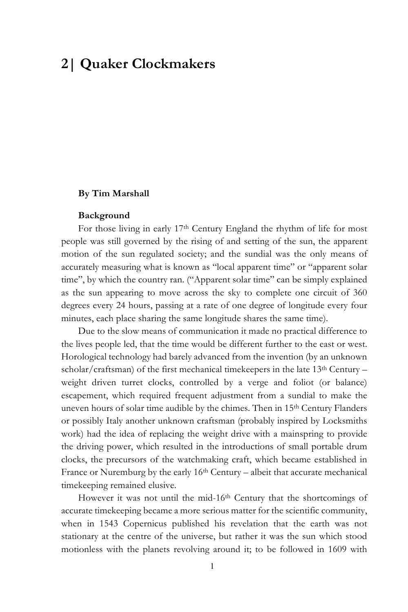# **2| Quaker Clockmakers**

### **By Tim Marshall**

#### **Background**

For those living in early 17<sup>th</sup> Century England the rhythm of life for most people was still governed by the rising of and setting of the sun, the apparent motion of the sun regulated society; and the sundial was the only means of accurately measuring what is known as "local apparent time" or "apparent solar time", by which the country ran. ("Apparent solar time" can be simply explained as the sun appearing to move across the sky to complete one circuit of 360 degrees every 24 hours, passing at a rate of one degree of longitude every four minutes, each place sharing the same longitude shares the same time).

Due to the slow means of communication it made no practical difference to the lives people led, that the time would be different further to the east or west. Horological technology had barely advanced from the invention (by an unknown scholar/craftsman) of the first mechanical timekeepers in the late  $13<sup>th</sup>$  Century – weight driven turret clocks, controlled by a verge and foliot (or balance) escapement, which required frequent adjustment from a sundial to make the uneven hours of solar time audible by the chimes. Then in 15th Century Flanders or possibly Italy another unknown craftsman (probably inspired by Locksmiths work) had the idea of replacing the weight drive with a mainspring to provide the driving power, which resulted in the introductions of small portable drum clocks, the precursors of the watchmaking craft, which became established in France or Nuremburg by the early 16<sup>th</sup> Century – albeit that accurate mechanical timekeeping remained elusive.

However it was not until the mid-16<sup>th</sup> Century that the shortcomings of accurate timekeeping became a more serious matter for the scientific community, when in 1543 Copernicus published his revelation that the earth was not stationary at the centre of the universe, but rather it was the sun which stood motionless with the planets revolving around it; to be followed in 1609 with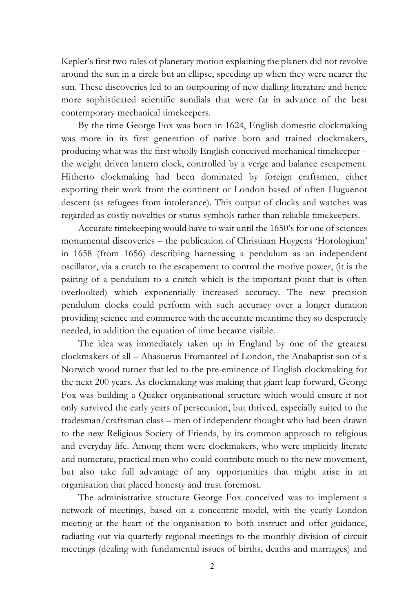Kepler's first two rules of planetary motion explaining the planets did not revolve around the sun in a circle but an ellipse, speeding up when they were nearer the sun. These discoveries led to an outpouring of new dialling literature and hence more sophisticated scientific sundials that were far in advance of the best contemporary mechanical timekeepers.

By the time George Fox was born in 1624, English domestic clockmaking was more in its first generation of native born and trained clockmakers, producing what was the first wholly English conceived mechanical timekeeper – the weight driven lantern clock, controlled by a verge and balance escapement. Hitherto clockmaking had been dominated by foreign craftsmen, either exporting their work from the continent or London based of often Huguenot descent (as refugees from intolerance). This output of clocks and watches was regarded as costly novelties or status symbols rather than reliable timekeepers.

Accurate timekeeping would have to wait until the 1650's for one of sciences monumental discoveries – the publication of Christiaan Huygens 'Horologium' in 1658 (from 1656) describing harnessing a pendulum as an independent oscillator, via a crutch to the escapement to control the motive power, (it is the pairing of a pendulum to a crutch which is the important point that is often overlooked) which exponentially increased accuracy. The new precision pendulum clocks could perform with such accuracy over a longer duration providing science and commerce with the accurate meantime they so desperately needed, in addition the equation of time became visible.

The idea was immediately taken up in England by one of the greatest clockmakers of all – Ahasuerus Fromanteel of London, the Anabaptist son of a Norwich wood turner that led to the pre-eminence of English clockmaking for the next 200 years. As clockmaking was making that giant leap forward, George Fox was building a Quaker organisational structure which would ensure it not only survived the early years of persecution, but thrived, especially suited to the tradesman/craftsman class – men of independent thought who had been drawn to the new Religious Society of Friends, by its common approach to religious and everyday life. Among them were clockmakers, who were implicitly literate and numerate, practical men who could contribute much to the new movement, but also take full advantage of any opportunities that might arise in an organisation that placed honesty and trust foremost.

The administrative structure George Fox conceived was to implement a network of meetings, based on a concentric model, with the yearly London meeting at the heart of the organisation to both instruct and offer guidance, radiating out via quarterly regional meetings to the monthly division of circuit meetings (dealing with fundamental issues of births, deaths and marriages) and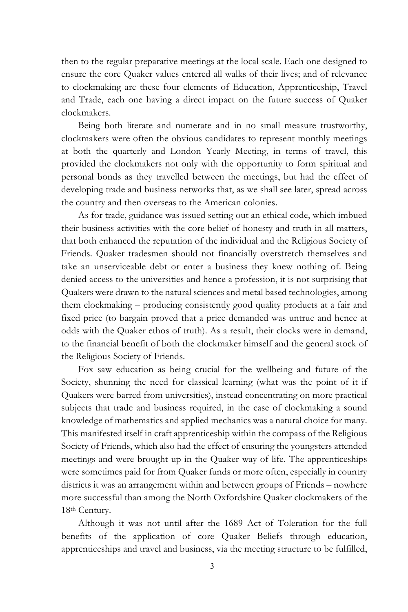then to the regular preparative meetings at the local scale. Each one designed to ensure the core Quaker values entered all walks of their lives; and of relevance to clockmaking are these four elements of Education, Apprenticeship, Travel and Trade, each one having a direct impact on the future success of Quaker clockmakers.

Being both literate and numerate and in no small measure trustworthy, clockmakers were often the obvious candidates to represent monthly meetings at both the quarterly and London Yearly Meeting, in terms of travel, this provided the clockmakers not only with the opportunity to form spiritual and personal bonds as they travelled between the meetings, but had the effect of developing trade and business networks that, as we shall see later, spread across the country and then overseas to the American colonies.

As for trade, guidance was issued setting out an ethical code, which imbued their business activities with the core belief of honesty and truth in all matters, that both enhanced the reputation of the individual and the Religious Society of Friends. Quaker tradesmen should not financially overstretch themselves and take an unserviceable debt or enter a business they knew nothing of. Being denied access to the universities and hence a profession, it is not surprising that Quakers were drawn to the natural sciences and metal based technologies, among them clockmaking – producing consistently good quality products at a fair and fixed price (to bargain proved that a price demanded was untrue and hence at odds with the Quaker ethos of truth). As a result, their clocks were in demand, to the financial benefit of both the clockmaker himself and the general stock of the Religious Society of Friends.

Fox saw education as being crucial for the wellbeing and future of the Society, shunning the need for classical learning (what was the point of it if Quakers were barred from universities), instead concentrating on more practical subjects that trade and business required, in the case of clockmaking a sound knowledge of mathematics and applied mechanics was a natural choice for many. This manifested itself in craft apprenticeship within the compass of the Religious Society of Friends, which also had the effect of ensuring the youngsters attended meetings and were brought up in the Quaker way of life. The apprenticeships were sometimes paid for from Quaker funds or more often, especially in country districts it was an arrangement within and between groups of Friends – nowhere more successful than among the North Oxfordshire Quaker clockmakers of the 18th Century.

Although it was not until after the 1689 Act of Toleration for the full benefits of the application of core Quaker Beliefs through education, apprenticeships and travel and business, via the meeting structure to be fulfilled,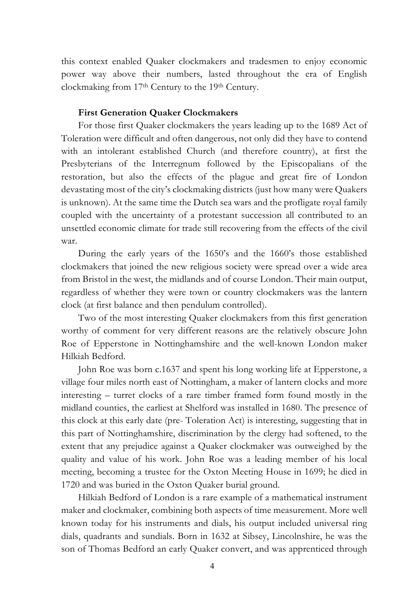this context enabled Quaker clockmakers and tradesmen to enjoy economic power way above their numbers, lasted throughout the era of English clockmaking from 17th Century to the 19th Century.

#### **First Generation Quaker Clockmakers**

For those first Quaker clockmakers the years leading up to the 1689 Act of Toleration were difficult and often dangerous, not only did they have to contend with an intolerant established Church (and therefore country), at first the Presbyterians of the Interregnum followed by the Episcopalians of the restoration, but also the effects of the plague and great fire of London devastating most of the city's clockmaking districts (just how many were Quakers is unknown). At the same time the Dutch sea wars and the profligate royal family coupled with the uncertainty of a protestant succession all contributed to an unsettled economic climate for trade still recovering from the effects of the civil war.

During the early years of the 1650's and the 1660's those established clockmakers that joined the new religious society were spread over a wide area from Bristol in the west, the midlands and of course London. Their main output, regardless of whether they were town or country clockmakers was the lantern clock (at first balance and then pendulum controlled).

Two of the most interesting Quaker clockmakers from this first generation worthy of comment for very different reasons are the relatively obscure John Roe of Epperstone in Nottinghamshire and the well-known London maker Hilkiah Bedford.

John Roe was born c.1637 and spent his long working life at Epperstone, a village four miles north east of Nottingham, a maker of lantern clocks and more interesting – turret clocks of a rare timber framed form found mostly in the midland counties, the earliest at Shelford was installed in 1680. The presence of this clock at this early date (pre- Toleration Act) is interesting, suggesting that in this part of Nottinghamshire, discrimination by the clergy had softened, to the extent that any prejudice against a Quaker clockmaker was outweighed by the quality and value of his work. John Roe was a leading member of his local meeting, becoming a trustee for the Oxton Meeting House in 1699; he died in 1720 and was buried in the Oxton Quaker burial ground.

Hilkiah Bedford of London is a rare example of a mathematical instrument maker and clockmaker, combining both aspects of time measurement. More well known today for his instruments and dials, his output included universal ring dials, quadrants and sundials. Born in 1632 at Sibsey, Lincolnshire, he was the son of Thomas Bedford an early Quaker convert, and was apprenticed through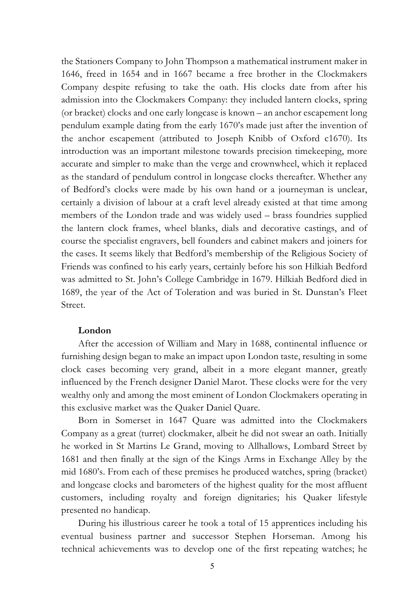the Stationers Company to John Thompson a mathematical instrument maker in 1646, freed in 1654 and in 1667 became a free brother in the Clockmakers Company despite refusing to take the oath. His clocks date from after his admission into the Clockmakers Company: they included lantern clocks, spring (or bracket) clocks and one early longcase is known – an anchor escapement long pendulum example dating from the early 1670's made just after the invention of the anchor escapement (attributed to Joseph Knibb of Oxford c1670). Its introduction was an important milestone towards precision timekeeping, more accurate and simpler to make than the verge and crownwheel, which it replaced as the standard of pendulum control in longcase clocks thereafter. Whether any of Bedford's clocks were made by his own hand or a journeyman is unclear, certainly a division of labour at a craft level already existed at that time among members of the London trade and was widely used – brass foundries supplied the lantern clock frames, wheel blanks, dials and decorative castings, and of course the specialist engravers, bell founders and cabinet makers and joiners for the cases. It seems likely that Bedford's membership of the Religious Society of Friends was confined to his early years, certainly before his son Hilkiah Bedford was admitted to St. John's College Cambridge in 1679. Hilkiah Bedford died in 1689, the year of the Act of Toleration and was buried in St. Dunstan's Fleet Street.

# **London**

After the accession of William and Mary in 1688, continental influence or furnishing design began to make an impact upon London taste, resulting in some clock cases becoming very grand, albeit in a more elegant manner, greatly influenced by the French designer Daniel Marot. These clocks were for the very wealthy only and among the most eminent of London Clockmakers operating in this exclusive market was the Quaker Daniel Quare.

Born in Somerset in 1647 Quare was admitted into the Clockmakers Company as a great (turret) clockmaker, albeit he did not swear an oath. Initially he worked in St Martins Le Grand, moving to Allhallows, Lombard Street by 1681 and then finally at the sign of the Kings Arms in Exchange Alley by the mid 1680's. From each of these premises he produced watches, spring (bracket) and longcase clocks and barometers of the highest quality for the most affluent customers, including royalty and foreign dignitaries; his Quaker lifestyle presented no handicap.

During his illustrious career he took a total of 15 apprentices including his eventual business partner and successor Stephen Horseman. Among his technical achievements was to develop one of the first repeating watches; he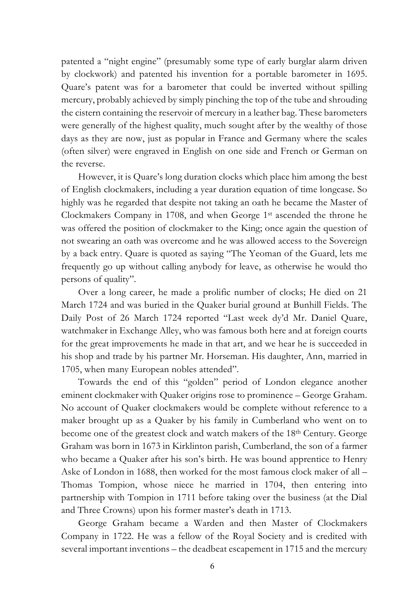patented a "night engine" (presumably some type of early burglar alarm driven by clockwork) and patented his invention for a portable barometer in 1695. Quare's patent was for a barometer that could be inverted without spilling mercury, probably achieved by simply pinching the top of the tube and shrouding the cistern containing the reservoir of mercury in a leather bag. These barometers were generally of the highest quality, much sought after by the wealthy of those days as they are now, just as popular in France and Germany where the scales (often silver) were engraved in English on one side and French or German on the reverse.

However, it is Quare's long duration clocks which place him among the best of English clockmakers, including a year duration equation of time longcase. So highly was he regarded that despite not taking an oath he became the Master of Clockmakers Company in 1708, and when George 1st ascended the throne he was offered the position of clockmaker to the King; once again the question of not swearing an oath was overcome and he was allowed access to the Sovereign by a back entry. Quare is quoted as saying "The Yeoman of the Guard, lets me frequently go up without calling anybody for leave, as otherwise he would tho persons of quality".

Over a long career, he made a prolific number of clocks; He died on 21 March 1724 and was buried in the Quaker burial ground at Bunhill Fields. The Daily Post of 26 March 1724 reported "Last week dy'd Mr. Daniel Quare, watchmaker in Exchange Alley, who was famous both here and at foreign courts for the great improvements he made in that art, and we hear he is succeeded in his shop and trade by his partner Mr. Horseman. His daughter, Ann, married in 1705, when many European nobles attended".

Towards the end of this "golden" period of London elegance another eminent clockmaker with Quaker origins rose to prominence – George Graham. No account of Quaker clockmakers would be complete without reference to a maker brought up as a Quaker by his family in Cumberland who went on to become one of the greatest clock and watch makers of the 18th Century. George Graham was born in 1673 in Kirklinton parish, Cumberland, the son of a farmer who became a Quaker after his son's birth. He was bound apprentice to Henry Aske of London in 1688, then worked for the most famous clock maker of all – Thomas Tompion, whose niece he married in 1704, then entering into partnership with Tompion in 1711 before taking over the business (at the Dial and Three Crowns) upon his former master's death in 1713.

George Graham became a Warden and then Master of Clockmakers Company in 1722. He was a fellow of the Royal Society and is credited with several important inventions – the deadbeat escapement in 1715 and the mercury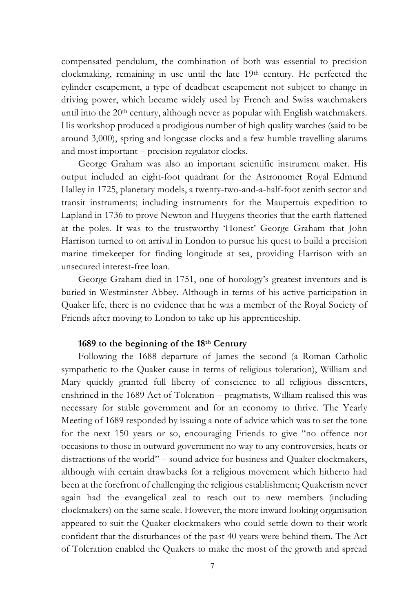compensated pendulum, the combination of both was essential to precision clockmaking, remaining in use until the late  $19<sup>th</sup>$  century. He perfected the cylinder escapement, a type of deadbeat escapement not subject to change in driving power, which became widely used by French and Swiss watchmakers until into the 20<sup>th</sup> century, although never as popular with English watchmakers. His workshop produced a prodigious number of high quality watches (said to be around 3,000), spring and longcase clocks and a few humble travelling alarums and most important – precision regulator clocks.

George Graham was also an important scientific instrument maker. His output included an eight-foot quadrant for the Astronomer Royal Edmund Halley in 1725, planetary models, a twenty-two-and-a-half-foot zenith sector and transit instruments; including instruments for the Maupertuis expedition to Lapland in 1736 to prove Newton and Huygens theories that the earth flattened at the poles. It was to the trustworthy 'Honest' George Graham that John Harrison turned to on arrival in London to pursue his quest to build a precision marine timekeeper for finding longitude at sea, providing Harrison with an unsecured interest-free loan.

George Graham died in 1751, one of horology's greatest inventors and is buried in Westminster Abbey. Although in terms of his active participation in Quaker life, there is no evidence that he was a member of the Royal Society of Friends after moving to London to take up his apprenticeship.

# **1689 to the beginning of the 18th Century**

Following the 1688 departure of James the second (a Roman Catholic sympathetic to the Quaker cause in terms of religious toleration), William and Mary quickly granted full liberty of conscience to all religious dissenters, enshrined in the 1689 Act of Toleration – pragmatists, William realised this was necessary for stable government and for an economy to thrive. The Yearly Meeting of 1689 responded by issuing a note of advice which was to set the tone for the next 150 years or so, encouraging Friends to give "no offence nor occasions to those in outward government no way to any controversies, heats or distractions of the world" – sound advice for business and Quaker clockmakers, although with certain drawbacks for a religious movement which hitherto had been at the forefront of challenging the religious establishment; Quakerism never again had the evangelical zeal to reach out to new members (including clockmakers) on the same scale. However, the more inward looking organisation appeared to suit the Quaker clockmakers who could settle down to their work confident that the disturbances of the past 40 years were behind them. The Act of Toleration enabled the Quakers to make the most of the growth and spread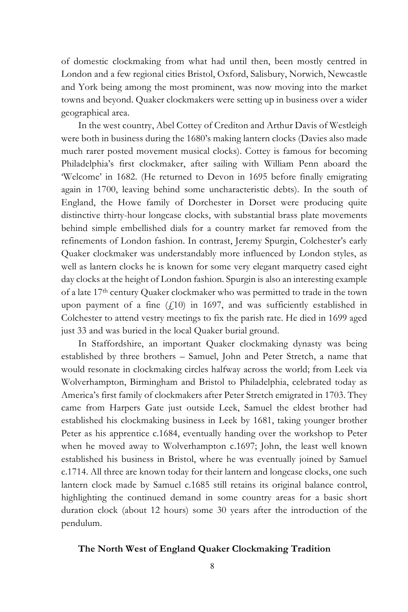of domestic clockmaking from what had until then, been mostly centred in London and a few regional cities Bristol, Oxford, Salisbury, Norwich, Newcastle and York being among the most prominent, was now moving into the market towns and beyond. Quaker clockmakers were setting up in business over a wider geographical area.

In the west country, Abel Cottey of Crediton and Arthur Davis of Westleigh were both in business during the 1680's making lantern clocks (Davies also made much rarer posted movement musical clocks). Cottey is famous for becoming Philadelphia's first clockmaker, after sailing with William Penn aboard the 'Welcome' in 1682. (He returned to Devon in 1695 before finally emigrating again in 1700, leaving behind some uncharacteristic debts). In the south of England, the Howe family of Dorchester in Dorset were producing quite distinctive thirty-hour longcase clocks, with substantial brass plate movements behind simple embellished dials for a country market far removed from the refinements of London fashion. In contrast, Jeremy Spurgin, Colchester's early Quaker clockmaker was understandably more influenced by London styles, as well as lantern clocks he is known for some very elegant marquetry cased eight day clocks at the height of London fashion. Spurgin is also an interesting example of a late 17th century Quaker clockmaker who was permitted to trade in the town upon payment of a fine  $(f10)$  in 1697, and was sufficiently established in Colchester to attend vestry meetings to fix the parish rate. He died in 1699 aged just 33 and was buried in the local Quaker burial ground.

In Staffordshire, an important Quaker clockmaking dynasty was being established by three brothers – Samuel, John and Peter Stretch, a name that would resonate in clockmaking circles halfway across the world; from Leek via Wolverhampton, Birmingham and Bristol to Philadelphia, celebrated today as America's first family of clockmakers after Peter Stretch emigrated in 1703. They came from Harpers Gate just outside Leek, Samuel the eldest brother had established his clockmaking business in Leek by 1681, taking younger brother Peter as his apprentice c.1684, eventually handing over the workshop to Peter when he moved away to Wolverhampton c.1697; John, the least well known established his business in Bristol, where he was eventually joined by Samuel c.1714. All three are known today for their lantern and longcase clocks, one such lantern clock made by Samuel c.1685 still retains its original balance control, highlighting the continued demand in some country areas for a basic short duration clock (about 12 hours) some 30 years after the introduction of the pendulum.

# **The North West of England Quaker Clockmaking Tradition**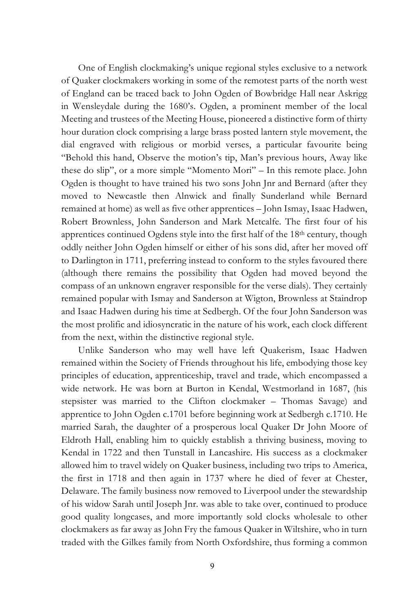One of English clockmaking's unique regional styles exclusive to a network of Quaker clockmakers working in some of the remotest parts of the north west of England can be traced back to John Ogden of Bowbridge Hall near Askrigg in Wensleydale during the 1680's. Ogden, a prominent member of the local Meeting and trustees of the Meeting House, pioneered a distinctive form of thirty hour duration clock comprising a large brass posted lantern style movement, the dial engraved with religious or morbid verses, a particular favourite being "Behold this hand, Observe the motion's tip, Man's previous hours, Away like these do slip", or a more simple "Momento Mori" – In this remote place. John Ogden is thought to have trained his two sons John Jnr and Bernard (after they moved to Newcastle then Alnwick and finally Sunderland while Bernard remained at home) as well as five other apprentices – John Ismay, Isaac Hadwen, Robert Brownless, John Sanderson and Mark Metcalfe. The first four of his apprentices continued Ogdens style into the first half of the  $18<sup>th</sup>$  century, though oddly neither John Ogden himself or either of his sons did, after her moved off to Darlington in 1711, preferring instead to conform to the styles favoured there (although there remains the possibility that Ogden had moved beyond the compass of an unknown engraver responsible for the verse dials). They certainly remained popular with Ismay and Sanderson at Wigton, Brownless at Staindrop and Isaac Hadwen during his time at Sedbergh. Of the four John Sanderson was the most prolific and idiosyncratic in the nature of his work, each clock different from the next, within the distinctive regional style.

Unlike Sanderson who may well have left Quakerism, Isaac Hadwen remained within the Society of Friends throughout his life, embodying those key principles of education, apprenticeship, travel and trade, which encompassed a wide network. He was born at Burton in Kendal, Westmorland in 1687, (his stepsister was married to the Clifton clockmaker – Thomas Savage) and apprentice to John Ogden c.1701 before beginning work at Sedbergh c.1710. He married Sarah, the daughter of a prosperous local Quaker Dr John Moore of Eldroth Hall, enabling him to quickly establish a thriving business, moving to Kendal in 1722 and then Tunstall in Lancashire. His success as a clockmaker allowed him to travel widely on Quaker business, including two trips to America, the first in 1718 and then again in 1737 where he died of fever at Chester, Delaware. The family business now removed to Liverpool under the stewardship of his widow Sarah until Joseph Jnr. was able to take over, continued to produce good quality longcases, and more importantly sold clocks wholesale to other clockmakers as far away as John Fry the famous Quaker in Wiltshire, who in turn traded with the Gilkes family from North Oxfordshire, thus forming a common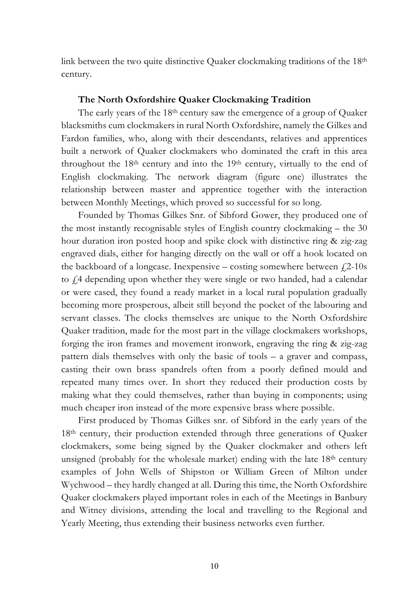link between the two quite distinctive Quaker clockmaking traditions of the 18<sup>th</sup> century.

#### **The North Oxfordshire Quaker Clockmaking Tradition**

The early years of the 18<sup>th</sup> century saw the emergence of a group of Quaker blacksmiths cum clockmakers in rural North Oxfordshire, namely the Gilkes and Fardon families, who, along with their descendants, relatives and apprentices built a network of Quaker clockmakers who dominated the craft in this area throughout the 18<sup>th</sup> century and into the 19<sup>th</sup> century, virtually to the end of English clockmaking. The network diagram (figure one) illustrates the relationship between master and apprentice together with the interaction between Monthly Meetings, which proved so successful for so long.

Founded by Thomas Gilkes Snr. of Sibford Gower, they produced one of the most instantly recognisable styles of English country clockmaking – the 30 hour duration iron posted hoop and spike clock with distinctive ring & zig-zag engraved dials, either for hanging directly on the wall or off a hook located on the backboard of a longcase. Inexpensive – costing somewhere between  $\ell$ 2-10s to £4 depending upon whether they were single or two handed, had a calendar or were cased, they found a ready market in a local rural population gradually becoming more prosperous, albeit still beyond the pocket of the labouring and servant classes. The clocks themselves are unique to the North Oxfordshire Quaker tradition, made for the most part in the village clockmakers workshops, forging the iron frames and movement ironwork, engraving the ring & zig-zag pattern dials themselves with only the basic of tools – a graver and compass, casting their own brass spandrels often from a poorly defined mould and repeated many times over. In short they reduced their production costs by making what they could themselves, rather than buying in components; using much cheaper iron instead of the more expensive brass where possible.

First produced by Thomas Gilkes snr. of Sibford in the early years of the 18th century, their production extended through three generations of Quaker clockmakers, some being signed by the Quaker clockmaker and others left unsigned (probably for the wholesale market) ending with the late 18th century examples of John Wells of Shipston or William Green of Milton under Wychwood – they hardly changed at all. During this time, the North Oxfordshire Quaker clockmakers played important roles in each of the Meetings in Banbury and Witney divisions, attending the local and travelling to the Regional and Yearly Meeting, thus extending their business networks even further.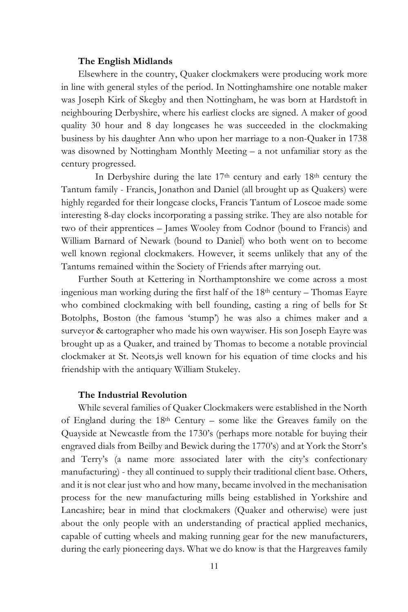#### **The English Midlands**

Elsewhere in the country, Quaker clockmakers were producing work more in line with general styles of the period. In Nottinghamshire one notable maker was Joseph Kirk of Skegby and then Nottingham, he was born at Hardstoft in neighbouring Derbyshire, where his earliest clocks are signed. A maker of good quality 30 hour and 8 day longcases he was succeeded in the clockmaking business by his daughter Ann who upon her marriage to a non-Quaker in 1738 was disowned by Nottingham Monthly Meeting – a not unfamiliar story as the century progressed.

In Derbyshire during the late  $17<sup>th</sup>$  century and early  $18<sup>th</sup>$  century the Tantum family - Francis, Jonathon and Daniel (all brought up as Quakers) were highly regarded for their longcase clocks, Francis Tantum of Loscoe made some interesting 8-day clocks incorporating a passing strike. They are also notable for two of their apprentices – James Wooley from Codnor (bound to Francis) and William Barnard of Newark (bound to Daniel) who both went on to become well known regional clockmakers. However, it seems unlikely that any of the Tantums remained within the Society of Friends after marrying out.

Further South at Kettering in Northamptonshire we come across a most ingenious man working during the first half of the 18th century – Thomas Eayre who combined clockmaking with bell founding, casting a ring of bells for St Botolphs, Boston (the famous 'stump') he was also a chimes maker and a surveyor & cartographer who made his own waywiser. His son Joseph Eayre was brought up as a Quaker, and trained by Thomas to become a notable provincial clockmaker at St. Neots,is well known for his equation of time clocks and his friendship with the antiquary William Stukeley.

# **The Industrial Revolution**

While several families of Quaker Clockmakers were established in the North of England during the 18th Century – some like the Greaves family on the Quayside at Newcastle from the 1730's (perhaps more notable for buying their engraved dials from Beilby and Bewick during the 1770's) and at York the Storr's and Terry's (a name more associated later with the city's confectionary manufacturing) - they all continued to supply their traditional client base. Others, and it is not clear just who and how many, became involved in the mechanisation process for the new manufacturing mills being established in Yorkshire and Lancashire; bear in mind that clockmakers (Quaker and otherwise) were just about the only people with an understanding of practical applied mechanics, capable of cutting wheels and making running gear for the new manufacturers, during the early pioneering days. What we do know is that the Hargreaves family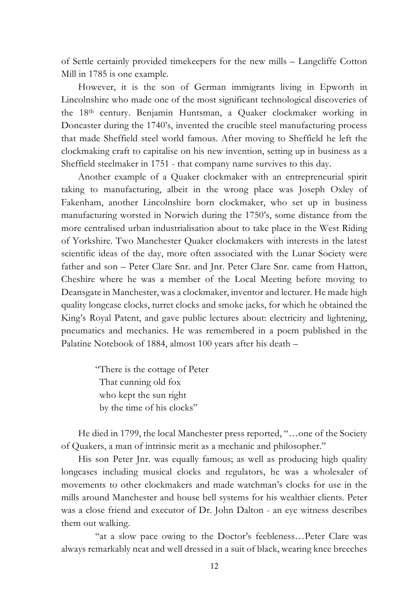of Settle certainly provided timekeepers for the new mills – Langcliffe Cotton Mill in 1785 is one example.

However, it is the son of German immigrants living in Epworth in Lincolnshire who made one of the most significant technological discoveries of the 18th century. Benjamin Huntsman, a Quaker clockmaker working in Doncaster during the 1740's, invented the crucible steel manufacturing process that made Sheffield steel world famous. After moving to Sheffield he left the clockmaking craft to capitalise on his new invention, setting up in business as a Sheffield steelmaker in 1751 - that company name survives to this day.

Another example of a Quaker clockmaker with an entrepreneurial spirit taking to manufacturing, albeit in the wrong place was Joseph Oxley of Fakenham, another Lincolnshire born clockmaker, who set up in business manufacturing worsted in Norwich during the 1750's, some distance from the more centralised urban industrialisation about to take place in the West Riding of Yorkshire. Two Manchester Quaker clockmakers with interests in the latest scientific ideas of the day, more often associated with the Lunar Society were father and son – Peter Clare Snr. and Jnr. Peter Clare Snr. came from Hatton, Cheshire where he was a member of the Local Meeting before moving to Deansgate in Manchester, was a clockmaker, inventor and lecturer. He made high quality longcase clocks, turret clocks and smoke jacks, for which he obtained the King's Royal Patent, and gave public lectures about: electricity and lightening, pneumatics and mechanics. He was remembered in a poem published in the Palatine Notebook of 1884, almost 100 years after his death –

> "There is the cottage of Peter That cunning old fox who kept the sun right by the time of his clocks"

He died in 1799, the local Manchester press reported, "…one of the Society of Quakers, a man of intrinsic merit as a mechanic and philosopher."

His son Peter Jnr. was equally famous; as well as producing high quality longcases including musical clocks and regulators, he was a wholesaler of movements to other clockmakers and made watchman's clocks for use in the mills around Manchester and house bell systems for his wealthier clients. Peter was a close friend and executor of Dr. John Dalton - an eye witness describes them out walking.

"at a slow pace owing to the Doctor's feebleness…Peter Clare was always remarkably neat and well dressed in a suit of black, wearing knee breeches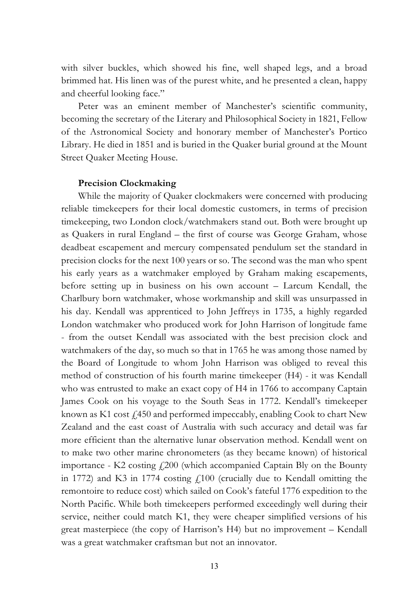with silver buckles, which showed his fine, well shaped legs, and a broad brimmed hat. His linen was of the purest white, and he presented a clean, happy and cheerful looking face."

Peter was an eminent member of Manchester's scientific community, becoming the secretary of the Literary and Philosophical Society in 1821, Fellow of the Astronomical Society and honorary member of Manchester's Portico Library. He died in 1851 and is buried in the Quaker burial ground at the Mount Street Quaker Meeting House.

#### **Precision Clockmaking**

While the majority of Quaker clockmakers were concerned with producing reliable timekeepers for their local domestic customers, in terms of precision timekeeping, two London clock/watchmakers stand out. Both were brought up as Quakers in rural England – the first of course was George Graham, whose deadbeat escapement and mercury compensated pendulum set the standard in precision clocks for the next 100 years or so. The second was the man who spent his early years as a watchmaker employed by Graham making escapements, before setting up in business on his own account – Larcum Kendall, the Charlbury born watchmaker, whose workmanship and skill was unsurpassed in his day. Kendall was apprenticed to John Jeffreys in 1735, a highly regarded London watchmaker who produced work for John Harrison of longitude fame - from the outset Kendall was associated with the best precision clock and watchmakers of the day, so much so that in 1765 he was among those named by the Board of Longitude to whom John Harrison was obliged to reveal this method of construction of his fourth marine timekeeper (H4) - it was Kendall who was entrusted to make an exact copy of H4 in 1766 to accompany Captain James Cook on his voyage to the South Seas in 1772. Kendall's timekeeper known as K1 cost  $\ell$  450 and performed impeccably, enabling Cook to chart New Zealand and the east coast of Australia with such accuracy and detail was far more efficient than the alternative lunar observation method. Kendall went on to make two other marine chronometers (as they became known) of historical importance - K2 costing  $f200$  (which accompanied Captain Bly on the Bounty in 1772) and K3 in 1774 costing  $\ell$ 100 (crucially due to Kendall omitting the remontoire to reduce cost) which sailed on Cook's fateful 1776 expedition to the North Pacific. While both timekeepers performed exceedingly well during their service, neither could match K1, they were cheaper simplified versions of his great masterpiece (the copy of Harrison's H4) but no improvement – Kendall was a great watchmaker craftsman but not an innovator.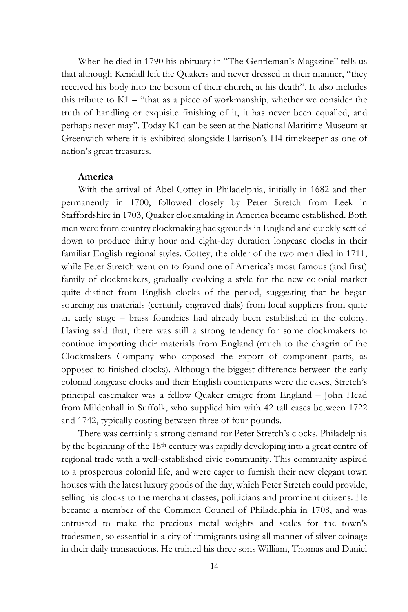When he died in 1790 his obituary in "The Gentleman's Magazine" tells us that although Kendall left the Quakers and never dressed in their manner, "they received his body into the bosom of their church, at his death". It also includes this tribute to  $K1$  – "that as a piece of workmanship, whether we consider the truth of handling or exquisite finishing of it, it has never been equalled, and perhaps never may". Today K1 can be seen at the National Maritime Museum at Greenwich where it is exhibited alongside Harrison's H4 timekeeper as one of nation's great treasures.

# **America**

With the arrival of Abel Cottey in Philadelphia, initially in 1682 and then permanently in 1700, followed closely by Peter Stretch from Leek in Staffordshire in 1703, Quaker clockmaking in America became established. Both men were from country clockmaking backgrounds in England and quickly settled down to produce thirty hour and eight-day duration longcase clocks in their familiar English regional styles. Cottey, the older of the two men died in 1711, while Peter Stretch went on to found one of America's most famous (and first) family of clockmakers, gradually evolving a style for the new colonial market quite distinct from English clocks of the period, suggesting that he began sourcing his materials (certainly engraved dials) from local suppliers from quite an early stage – brass foundries had already been established in the colony. Having said that, there was still a strong tendency for some clockmakers to continue importing their materials from England (much to the chagrin of the Clockmakers Company who opposed the export of component parts, as opposed to finished clocks). Although the biggest difference between the early colonial longcase clocks and their English counterparts were the cases, Stretch's principal casemaker was a fellow Quaker emigre from England – John Head from Mildenhall in Suffolk, who supplied him with 42 tall cases between 1722 and 1742, typically costing between three of four pounds.

There was certainly a strong demand for Peter Stretch's clocks. Philadelphia by the beginning of the 18th century was rapidly developing into a great centre of regional trade with a well-established civic community. This community aspired to a prosperous colonial life, and were eager to furnish their new elegant town houses with the latest luxury goods of the day, which Peter Stretch could provide, selling his clocks to the merchant classes, politicians and prominent citizens. He became a member of the Common Council of Philadelphia in 1708, and was entrusted to make the precious metal weights and scales for the town's tradesmen, so essential in a city of immigrants using all manner of silver coinage in their daily transactions. He trained his three sons William, Thomas and Daniel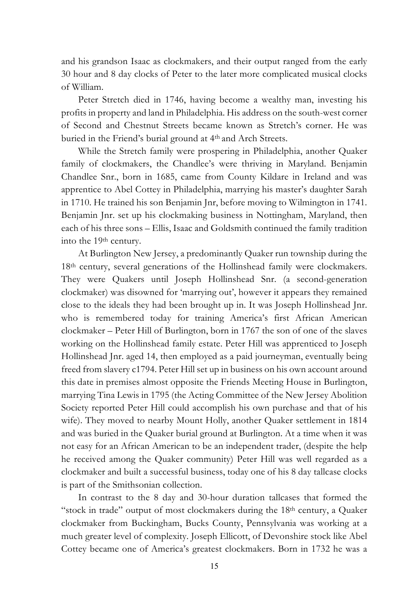and his grandson Isaac as clockmakers, and their output ranged from the early 30 hour and 8 day clocks of Peter to the later more complicated musical clocks of William.

Peter Stretch died in 1746, having become a wealthy man, investing his profits in property and land in Philadelphia. His address on the south-west corner of Second and Chestnut Streets became known as Stretch's corner. He was buried in the Friend's burial ground at 4th and Arch Streets.

While the Stretch family were prospering in Philadelphia, another Quaker family of clockmakers, the Chandlee's were thriving in Maryland. Benjamin Chandlee Snr., born in 1685, came from County Kildare in Ireland and was apprentice to Abel Cottey in Philadelphia, marrying his master's daughter Sarah in 1710. He trained his son Benjamin Jnr, before moving to Wilmington in 1741. Benjamin Jnr. set up his clockmaking business in Nottingham, Maryland, then each of his three sons – Ellis, Isaac and Goldsmith continued the family tradition into the 19th century.

At Burlington New Jersey, a predominantly Quaker run township during the 18th century, several generations of the Hollinshead family were clockmakers. They were Quakers until Joseph Hollinshead Snr. (a second-generation clockmaker) was disowned for 'marrying out', however it appears they remained close to the ideals they had been brought up in. It was Joseph Hollinshead Jnr. who is remembered today for training America's first African American clockmaker – Peter Hill of Burlington, born in 1767 the son of one of the slaves working on the Hollinshead family estate. Peter Hill was apprenticed to Joseph Hollinshead Jnr. aged 14, then employed as a paid journeyman, eventually being freed from slavery c1794. Peter Hill set up in business on his own account around this date in premises almost opposite the Friends Meeting House in Burlington, marrying Tina Lewis in 1795 (the Acting Committee of the New Jersey Abolition Society reported Peter Hill could accomplish his own purchase and that of his wife). They moved to nearby Mount Holly, another Quaker settlement in 1814 and was buried in the Quaker burial ground at Burlington. At a time when it was not easy for an African American to be an independent trader, (despite the help he received among the Quaker community) Peter Hill was well regarded as a clockmaker and built a successful business, today one of his 8 day tallcase clocks is part of the Smithsonian collection.

In contrast to the 8 day and 30-hour duration tallcases that formed the "stock in trade" output of most clockmakers during the 18th century, a Quaker clockmaker from Buckingham, Bucks County, Pennsylvania was working at a much greater level of complexity. Joseph Ellicott, of Devonshire stock like Abel Cottey became one of America's greatest clockmakers. Born in 1732 he was a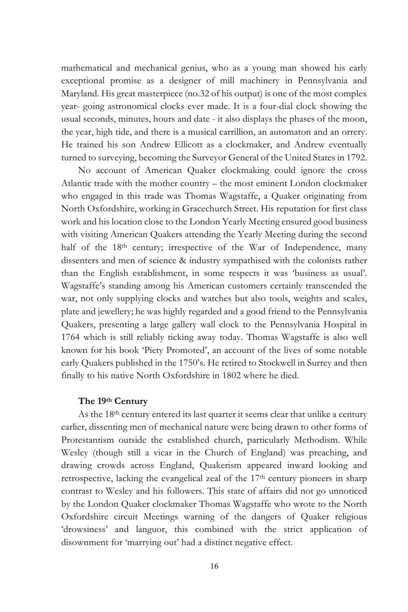mathematical and mechanical genius, who as a young man showed his early exceptional promise as a designer of mill machinery in Pennsylvania and Maryland. His great masterpiece (no.32 of his output) is one of the most complex year- going astronomical clocks ever made. It is a four-dial clock showing the usual seconds, minutes, hours and date - it also displays the phases of the moon, the year, high tide, and there is a musical carrillion, an automaton and an orrery. He trained his son Andrew Ellicott as a clockmaker, and Andrew eventually turned to surveying, becoming the Surveyor General of the United States in 1792.

No account of American Quaker clockmaking could ignore the cross Atlantic trade with the mother country – the most eminent London clockmaker who engaged in this trade was Thomas Wagstaffe, a Quaker originating from North Oxfordshire, working in Gracechurch Street. His reputation for first class work and his location close to the London Yearly Meeting ensured good business with visiting American Quakers attending the Yearly Meeting during the second half of the  $18<sup>th</sup>$  century; irrespective of the War of Independence, many dissenters and men of science & industry sympathised with the colonists rather than the English establishment, in some respects it was 'business as usual'. Wagstaffe's standing among his American customers certainly transcended the war, not only supplying clocks and watches but also tools, weights and scales, plate and jewellery; he was highly regarded and a good friend to the Pennsylvania Quakers, presenting a large gallery wall clock to the Pennsylvania Hospital in 1764 which is still reliably ticking away today. Thomas Wagstaffe is also well known for his book 'Piety Promoted', an account of the lives of some notable early Quakers published in the 1750's. He retired to Stockwell in Surrey and then finally to his native North Oxfordshire in 1802 where he died.

# **The 19th Century**

As the 18<sup>th</sup> century entered its last quarter it seems clear that unlike a century earlier, dissenting men of mechanical nature were being drawn to other forms of Protestantism outside the established church, particularly Methodism. While Wesley (though still a vicar in the Church of England) was preaching, and drawing crowds across England, Quakerism appeared inward looking and retrospective, lacking the evangelical zeal of the 17<sup>th</sup> century pioneers in sharp contrast to Wesley and his followers. This state of affairs did not go unnoticed by the London Quaker clockmaker Thomas Wagstaffe who wrote to the North Oxfordshire circuit Meetings warning of the dangers of Quaker religious 'drowsiness' and languor, this combined with the strict application of disownment for 'marrying out' had a distinct negative effect.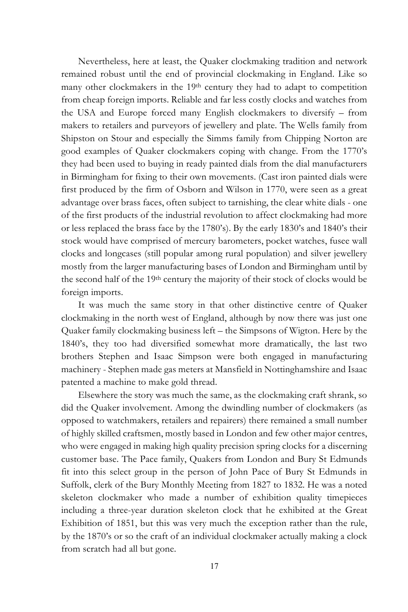Nevertheless, here at least, the Quaker clockmaking tradition and network remained robust until the end of provincial clockmaking in England. Like so many other clockmakers in the  $19<sup>th</sup>$  century they had to adapt to competition from cheap foreign imports. Reliable and far less costly clocks and watches from the USA and Europe forced many English clockmakers to diversify – from makers to retailers and purveyors of jewellery and plate. The Wells family from Shipston on Stour and especially the Simms family from Chipping Norton are good examples of Quaker clockmakers coping with change. From the 1770's they had been used to buying in ready painted dials from the dial manufacturers in Birmingham for fixing to their own movements. (Cast iron painted dials were first produced by the firm of Osborn and Wilson in 1770, were seen as a great advantage over brass faces, often subject to tarnishing, the clear white dials - one of the first products of the industrial revolution to affect clockmaking had more or less replaced the brass face by the 1780's). By the early 1830's and 1840's their stock would have comprised of mercury barometers, pocket watches, fusee wall clocks and longcases (still popular among rural population) and silver jewellery mostly from the larger manufacturing bases of London and Birmingham until by the second half of the  $19<sup>th</sup>$  century the majority of their stock of clocks would be foreign imports.

It was much the same story in that other distinctive centre of Quaker clockmaking in the north west of England, although by now there was just one Quaker family clockmaking business left – the Simpsons of Wigton. Here by the 1840's, they too had diversified somewhat more dramatically, the last two brothers Stephen and Isaac Simpson were both engaged in manufacturing machinery - Stephen made gas meters at Mansfield in Nottinghamshire and Isaac patented a machine to make gold thread.

Elsewhere the story was much the same, as the clockmaking craft shrank, so did the Quaker involvement. Among the dwindling number of clockmakers (as opposed to watchmakers, retailers and repairers) there remained a small number of highly skilled craftsmen, mostly based in London and few other major centres, who were engaged in making high quality precision spring clocks for a discerning customer base. The Pace family, Quakers from London and Bury St Edmunds fit into this select group in the person of John Pace of Bury St Edmunds in Suffolk, clerk of the Bury Monthly Meeting from 1827 to 1832. He was a noted skeleton clockmaker who made a number of exhibition quality timepieces including a three-year duration skeleton clock that he exhibited at the Great Exhibition of 1851, but this was very much the exception rather than the rule, by the 1870's or so the craft of an individual clockmaker actually making a clock from scratch had all but gone.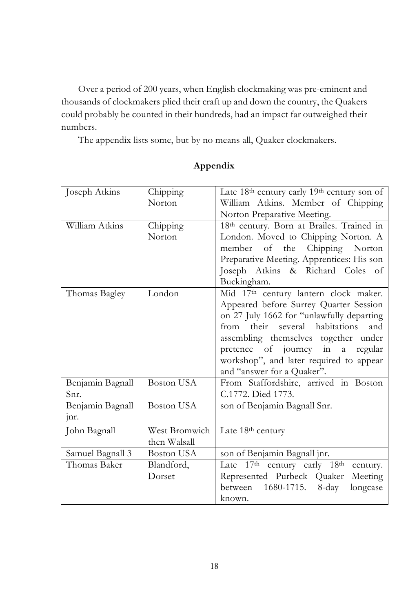Over a period of 200 years, when English clockmaking was pre-eminent and thousands of clockmakers plied their craft up and down the country, the Quakers could probably be counted in their hundreds, had an impact far outweighed their numbers.

The appendix lists some, but by no means all, Quaker clockmakers.

| Joseph Atkins    | Chipping          | Late 18th century early 19th century son of |
|------------------|-------------------|---------------------------------------------|
|                  | Norton            | William Atkins. Member of Chipping          |
|                  |                   | Norton Preparative Meeting.                 |
| William Atkins   | Chipping          | 18th century. Born at Brailes. Trained in   |
|                  | Norton            | London. Moved to Chipping Norton. A         |
|                  |                   | Chipping Norton<br>member of the            |
|                  |                   | Preparative Meeting. Apprentices: His son   |
|                  |                   | Joseph Atkins & Richard Coles of            |
|                  |                   | Buckingham.                                 |
| Thomas Bagley    | London            | Mid 17th century lantern clock maker.       |
|                  |                   | Appeared before Surrey Quarter Session      |
|                  |                   | on 27 July 1662 for "unlawfully departing   |
|                  |                   | from their several habitations<br>and       |
|                  |                   | assembling themselves together under        |
|                  |                   | pretence of journey in a regular            |
|                  |                   | workshop", and later required to appear     |
|                  |                   | and "answer for a Quaker".                  |
| Benjamin Bagnall | <b>Boston USA</b> | From Staffordshire, arrived in Boston       |
| Snr.             |                   | C.1772. Died 1773.                          |
| Benjamin Bagnall | Boston USA        | son of Benjamin Bagnall Snr.                |
| jnr.             |                   |                                             |
| John Bagnall     | West Bromwich     | Late 18th century                           |
|                  | then Walsall      |                                             |
| Samuel Bagnall 3 | <b>Boston USA</b> | son of Benjamin Bagnall jnr.                |
| Thomas Baker     | Blandford,        | Late 17th century early 18th<br>century.    |
|                  | Dorset            | Represented Purbeck Quaker<br>Meeting       |
|                  |                   | between<br>1680-1715. 8-day<br>longcase     |
|                  |                   | known.                                      |

# **Appendix**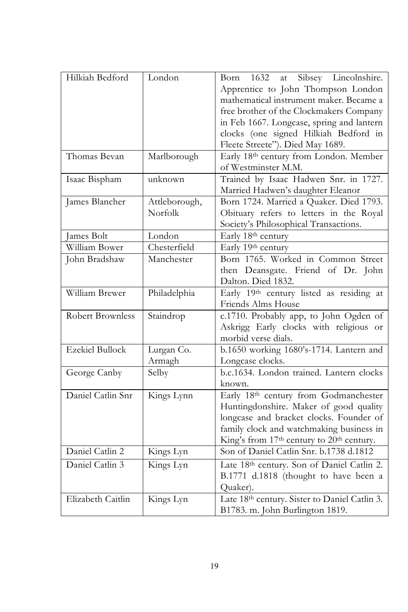| Hilkiah Bedford         | London        | Born 1632 at Sibsey Lincolnshire.             |
|-------------------------|---------------|-----------------------------------------------|
|                         |               | Apprentice to John Thompson London            |
|                         |               | mathematical instrument maker. Became a       |
|                         |               | free brother of the Clockmakers Company       |
|                         |               | in Feb 1667. Longcase, spring and lantern     |
|                         |               | clocks (one signed Hilkiah Bedford in         |
|                         |               | Fleete Streete"). Died May 1689.              |
| Thomas Bevan            | Marlborough   | Early 18th century from London. Member        |
|                         |               | of Westminster M.M.                           |
| Isaac Bispham           | unknown       | Trained by Isaac Hadwen Snr. in 1727.         |
|                         |               | Married Hadwen's daughter Eleanor             |
| James Blancher          | Attleborough, | Born 1724. Married a Quaker. Died 1793.       |
|                         | Norfolk       | Obituary refers to letters in the Royal       |
|                         |               | Society's Philosophical Transactions.         |
| James Bolt              | London        | Early 18th century                            |
| William Bower           | Chesterfield  | Early 19th century                            |
| John Bradshaw           | Manchester    | Born 1765. Worked in Common Street            |
|                         |               | then Deansgate. Friend of Dr. John            |
|                         |               | Dalton. Died 1832.                            |
| William Brewer          | Philadelphia  | Early 19th century listed as residing at      |
|                         |               | Friends Alms House                            |
| <b>Robert Brownless</b> | Staindrop     | c.1710. Probably app, to John Ogden of        |
|                         |               | Askrigg Early clocks with religious or        |
|                         |               | morbid verse dials.                           |
| <b>Ezekiel Bullock</b>  | Lurgan Co.    | b.1650 working 1680's-1714. Lantern and       |
|                         | Armagh        | Longcase clocks.                              |
| George Canby            | Selby         | b.c.1634. London trained. Lantern clocks      |
|                         |               | known.                                        |
| Daniel Catlin Snr       | Kings Lynn    | Early 18th century from Godmanchester         |
|                         |               | Huntingdonshire. Maker of good quality        |
|                         |               | longcase and bracket clocks. Founder of       |
|                         |               | family clock and watchmaking business in      |
|                         |               | King's from 17th century to 20th century.     |
| Daniel Catlin 2         | Kings Lyn     | Son of Daniel Catlin Snr. b.1738 d.1812       |
| Daniel Catlin 3         | Kings Lyn     | Late 18th century. Son of Daniel Catlin 2.    |
|                         |               | B.1771 d.1818 (thought to have been a         |
|                         |               | Quaker).                                      |
| Elizabeth Caitlin       | Kings Lyn     | Late 18th century. Sister to Daniel Catlin 3. |
|                         |               | B1783. m. John Burlington 1819.               |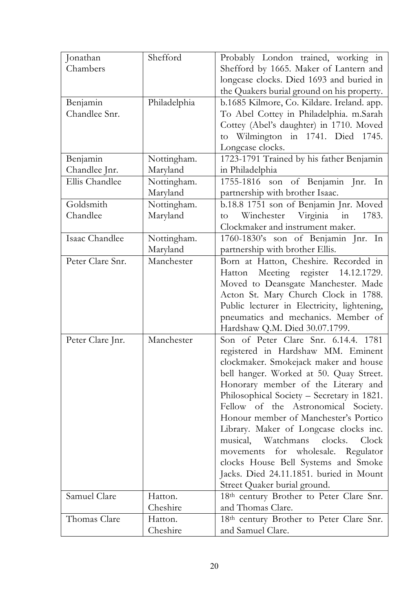| Jonathan         | Shefford            | Probably London trained, working in                           |
|------------------|---------------------|---------------------------------------------------------------|
| Chambers         |                     | Shefford by 1665. Maker of Lantern and                        |
|                  |                     | longcase clocks. Died 1693 and buried in                      |
|                  |                     | the Quakers burial ground on his property.                    |
| Benjamin         | Philadelphia        | b.1685 Kilmore, Co. Kildare. Ireland. app.                    |
| Chandlee Snr.    |                     | To Abel Cottey in Philadelphia. m.Sarah                       |
|                  |                     | Cottey (Abel's daughter) in 1710. Moved                       |
|                  |                     | to Wilmington in 1741. Died 1745.                             |
|                  |                     | Longcase clocks.                                              |
| Benjamin         | Nottingham.         | 1723-1791 Trained by his father Benjamin                      |
| Chandlee Jnr.    | Maryland            | in Philadelphia                                               |
| Ellis Chandlee   | Nottingham.         | son of Benjamin Jnr.<br>1755-1816<br>In                       |
|                  | Maryland            | partnership with brother Isaac.                               |
| Goldsmith        | Nottingham.         | b.18.8 1751 son of Benjamin Jnr. Moved                        |
| Chandlee         | Maryland            | Virginia<br>Winchester<br>in<br>1783.<br>to                   |
|                  |                     | Clockmaker and instrument maker.                              |
| Isaac Chandlee   | Nottingham.         | 1760-1830's son of Benjamin Jnr. In                           |
|                  | Maryland            | partnership with brother Ellis.                               |
| Peter Clare Snr. | Manchester          | Born at Hatton, Cheshire. Recorded in                         |
|                  |                     | Meeting register<br>Hatton<br>14.12.1729.                     |
|                  |                     | Moved to Deansgate Manchester. Made                           |
|                  |                     | Acton St. Mary Church Clock in 1788.                          |
|                  |                     | Public lecturer in Electricity, lightening,                   |
|                  |                     | pneumatics and mechanics. Member of                           |
|                  |                     | Hardshaw Q.M. Died 30.07.1799.                                |
| Peter Clare Jnr. | Manchester          | Son of Peter Clare Snr. 6.14.4. 1781                          |
|                  |                     | registered in Hardshaw MM. Eminent                            |
|                  |                     | clockmaker. Smokejack maker and house                         |
|                  |                     | bell hanger. Worked at 50. Quay Street.                       |
|                  |                     | Honorary member of the Literary and                           |
|                  |                     | Philosophical Society - Secretary in 1821.                    |
|                  |                     | Fellow of the Astronomical Society.                           |
|                  |                     | Honour member of Manchester's Portico                         |
|                  |                     | Library. Maker of Longcase clocks inc.                        |
|                  |                     | musical, Watchmans<br>clocks.<br>Clock                        |
|                  |                     | for wholesale. Regulator<br>movements                         |
|                  |                     | clocks House Bell Systems and Smoke                           |
|                  |                     | Jacks. Died 24.11.1851. buried in Mount                       |
|                  |                     | Street Quaker burial ground.                                  |
| Samuel Clare     | Hatton.<br>Cheshire | 18th century Brother to Peter Clare Snr.<br>and Thomas Clare. |
| Thomas Clare     | Hatton.             | 18th century Brother to Peter Clare Snr.                      |
|                  | Cheshire            | and Samuel Clare.                                             |
|                  |                     |                                                               |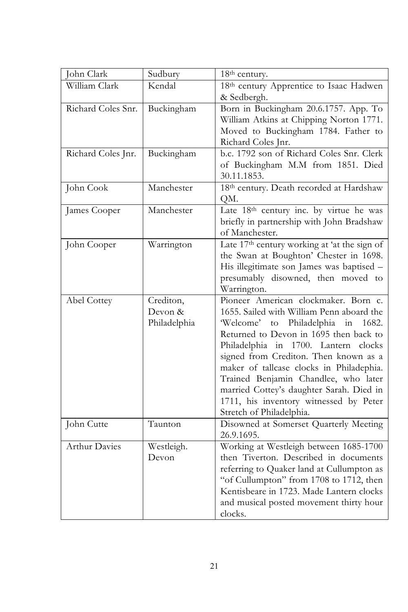| John Clark           | Sudbury      | 18 <sup>th</sup> century.                         |
|----------------------|--------------|---------------------------------------------------|
| William Clark        | Kendal       | 18th century Apprentice to Isaac Hadwen           |
|                      |              | & Sedbergh.                                       |
| Richard Coles Snr.   | Buckingham   | Born in Buckingham 20.6.1757. App. To             |
|                      |              | William Atkins at Chipping Norton 1771.           |
|                      |              | Moved to Buckingham 1784. Father to               |
|                      |              | Richard Coles Jnr.                                |
| Richard Coles Jnr.   | Buckingham   | b.c. 1792 son of Richard Coles Snr. Clerk         |
|                      |              | of Buckingham M.M from 1851. Died                 |
|                      |              | 30.11.1853.                                       |
| John Cook            | Manchester   | 18th century. Death recorded at Hardshaw          |
|                      |              | QM.                                               |
| James Cooper         | Manchester   | Late 18th century inc. by virtue he was           |
|                      |              | briefly in partnership with John Bradshaw         |
|                      |              | of Manchester.                                    |
| John Cooper          | Warrington   | Late 17th century working at 'at the sign of      |
|                      |              | the Swan at Boughton' Chester in 1698.            |
|                      |              | His illegitimate son James was baptised -         |
|                      |              | presumably disowned, then moved to<br>Warrington. |
| Abel Cottey          | Crediton,    | Pioneer American clockmaker. Born c.              |
|                      | Devon &      | 1655. Sailed with William Penn aboard the         |
|                      | Philadelphia | 'Welcome' to<br>Philadelphia in<br>1682.          |
|                      |              | Returned to Devon in 1695 then back to            |
|                      |              | Philadelphia in 1700. Lantern clocks              |
|                      |              | signed from Crediton. Then known as a             |
|                      |              | maker of tallcase clocks in Philadephia.          |
|                      |              | Trained Benjamin Chandlee, who later              |
|                      |              | married Cottey's daughter Sarah. Died in          |
|                      |              | 1711, his inventory witnessed by Peter            |
|                      |              | Stretch of Philadelphia.                          |
| John Cutte           | Taunton      | Disowned at Somerset Quarterly Meeting            |
|                      |              | 26.9.1695.                                        |
| <b>Arthur Davies</b> | Westleigh.   | Working at Westleigh between 1685-1700            |
|                      | Devon        | then Tiverton. Described in documents             |
|                      |              | referring to Quaker land at Cullumpton as         |
|                      |              | "of Cullumpton" from 1708 to 1712, then           |
|                      |              | Kentisbeare in 1723. Made Lantern clocks          |
|                      |              | and musical posted movement thirty hour           |
|                      |              | clocks.                                           |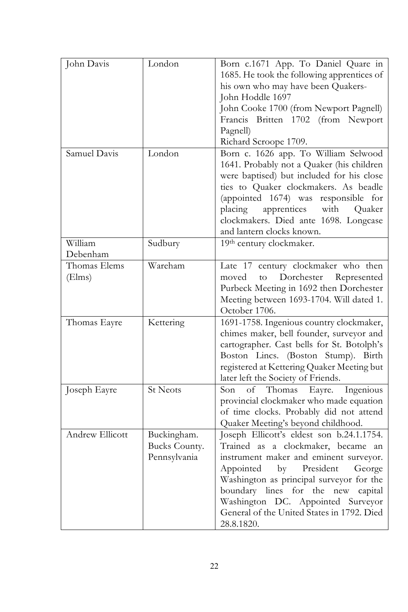| John Davis             | London                                       | Born c.1671 App. To Daniel Quare in<br>1685. He took the following apprentices of<br>his own who may have been Quakers-<br>John Hoddle 1697<br>John Cooke 1700 (from Newport Pagnell)<br>Britten 1702 (from Newport<br>Francis<br>Pagnell)<br>Richard Scroope 1709.                                                                                                         |
|------------------------|----------------------------------------------|-----------------------------------------------------------------------------------------------------------------------------------------------------------------------------------------------------------------------------------------------------------------------------------------------------------------------------------------------------------------------------|
| Samuel Davis           | London                                       | Born c. 1626 app. To William Selwood<br>1641. Probably not a Quaker (his children<br>were baptised) but included for his close<br>ties to Quaker clockmakers. As beadle<br>(appointed 1674) was responsible for<br>apprentices<br>with<br>placing<br>Quaker<br>clockmakers. Died ante 1698. Longcase<br>and lantern clocks known.                                           |
| William<br>Debenham    | Sudbury                                      | 19th century clockmaker.                                                                                                                                                                                                                                                                                                                                                    |
| Thomas Elems<br>(Elms) | Wareham                                      | Late 17 century clockmaker who then<br>moved<br>Dorchester Represented<br>to<br>Purbeck Meeting in 1692 then Dorchester<br>Meeting between 1693-1704. Will dated 1.<br>October 1706.                                                                                                                                                                                        |
| Thomas Eayre           | Kettering                                    | 1691-1758. Ingenious country clockmaker,<br>chimes maker, bell founder, surveyor and<br>cartographer. Cast bells for St. Botolph's<br>Boston Lincs. (Boston Stump). Birth<br>registered at Kettering Quaker Meeting but<br>later left the Society of Friends.                                                                                                               |
| Joseph Eayre           | <b>St Neots</b>                              | Son<br>of Thomas Eayre.<br>Ingenious<br>provincial clockmaker who made equation<br>of time clocks. Probably did not attend<br>Quaker Meeting's beyond childhood.                                                                                                                                                                                                            |
| <b>Andrew Ellicott</b> | Buckingham.<br>Bucks County.<br>Pennsylvania | Joseph Ellicott's eldest son b.24.1.1754.<br>Trained as a clockmaker, became an<br>instrument maker and eminent surveyor.<br>George<br>Appointed<br>$\mathbf{b} \mathbf{v}$<br>President<br>Washington as principal surveyor for the<br>boundary lines for the new capital<br>Washington DC. Appointed Surveyor<br>General of the United States in 1792. Died<br>28.8.1820. |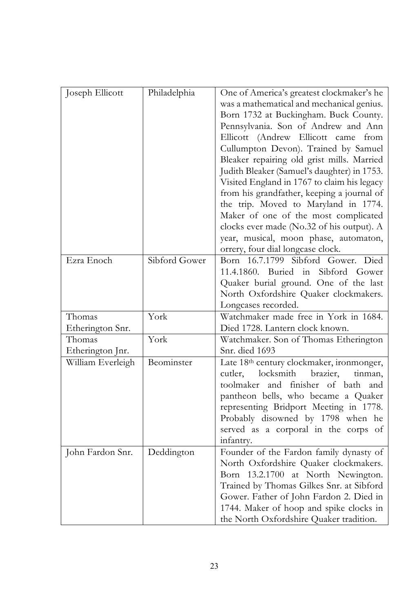| Joseph Ellicott   | Philadelphia  | One of America's greatest clockmaker's he<br>was a mathematical and mechanical genius. |
|-------------------|---------------|----------------------------------------------------------------------------------------|
|                   |               | Born 1732 at Buckingham. Buck County.                                                  |
|                   |               | Pennsylvania. Son of Andrew and Ann<br>Ellicott (Andrew Ellicott came<br>from          |
|                   |               | Cullumpton Devon). Trained by Samuel                                                   |
|                   |               | Bleaker repairing old grist mills. Married                                             |
|                   |               | Judith Bleaker (Samuel's daughter) in 1753.                                            |
|                   |               | Visited England in 1767 to claim his legacy                                            |
|                   |               |                                                                                        |
|                   |               | from his grandfather, keeping a journal of                                             |
|                   |               | the trip. Moved to Maryland in 1774.                                                   |
|                   |               | Maker of one of the most complicated                                                   |
|                   |               | clocks ever made (No.32 of his output). A                                              |
|                   |               | year, musical, moon phase, automaton,                                                  |
|                   |               | orrery, four dial longcase clock.                                                      |
| Ezra Enoch        | Sibford Gower | Born 16.7.1799 Sibford Gower. Died                                                     |
|                   |               | 11.4.1860. Buried in Sibford Gower                                                     |
|                   |               | Quaker burial ground. One of the last                                                  |
|                   |               | North Oxfordshire Quaker clockmakers.                                                  |
|                   |               | Longcases recorded.                                                                    |
| Thomas            | York          | Watchmaker made free in York in 1684.                                                  |
| Etherington Snr.  |               | Died 1728. Lantern clock known.                                                        |
| Thomas            | York          | Watchmaker. Son of Thomas Etherington                                                  |
| Etherington Jnr.  |               | Snr. died 1693                                                                         |
| William Everleigh | Beominster    | Late 18th century clockmaker, ironmonger,                                              |
|                   |               | locksmith<br>brazier,<br>cutler,<br>tinman.                                            |
|                   |               | and finisher of bath<br>toolmaker<br>and                                               |
|                   |               | pantheon bells, who became a Quaker                                                    |
|                   |               | representing Bridport Meeting in 1778.                                                 |
|                   |               | Probably disowned by 1798 when he                                                      |
|                   |               | served as a corporal in the corps of                                                   |
|                   |               | infantry.                                                                              |
| John Fardon Snr.  | Deddington    | Founder of the Fardon family dynasty of                                                |
|                   |               | North Oxfordshire Quaker clockmakers.                                                  |
|                   |               | Born 13.2.1700 at North Newington.                                                     |
|                   |               | Trained by Thomas Gilkes Snr. at Sibford                                               |
|                   |               | Gower. Father of John Fardon 2. Died in                                                |
|                   |               | 1744. Maker of hoop and spike clocks in                                                |
|                   |               | the North Oxfordshire Quaker tradition.                                                |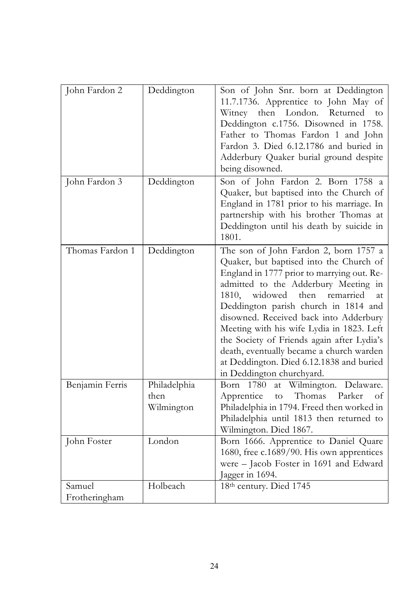| John Fardon 2           | Deddington                         | Son of John Snr. born at Deddington<br>11.7.1736. Apprentice to John May of<br>Witney then London. Returned<br>to<br>Deddington c.1756. Disowned in 1758.<br>Father to Thomas Fardon 1 and John<br>Fardon 3. Died 6.12.1786 and buried in<br>Adderbury Quaker burial ground despite<br>being disowned.                                                                                                                                                                                                                             |
|-------------------------|------------------------------------|------------------------------------------------------------------------------------------------------------------------------------------------------------------------------------------------------------------------------------------------------------------------------------------------------------------------------------------------------------------------------------------------------------------------------------------------------------------------------------------------------------------------------------|
| John Fardon 3           | Deddington                         | Son of John Fardon 2. Born 1758 a<br>Quaker, but baptised into the Church of<br>England in 1781 prior to his marriage. In<br>partnership with his brother Thomas at<br>Deddington until his death by suicide in<br>1801.                                                                                                                                                                                                                                                                                                           |
| Thomas Fardon 1         | Deddington                         | The son of John Fardon 2, born 1757 a<br>Quaker, but baptised into the Church of<br>England in 1777 prior to marrying out. Re-<br>admitted to the Adderbury Meeting in<br>1810,<br>widowed<br>then<br>remarried<br><sub>at</sub><br>Deddington parish church in 1814 and<br>disowned. Received back into Adderbury<br>Meeting with his wife Lydia in 1823. Left<br>the Society of Friends again after Lydia's<br>death, eventually became a church warden<br>at Deddington. Died 6.12.1838 and buried<br>in Deddington churchyard. |
| Benjamin Ferris         | Philadelphia<br>then<br>Wilmington | at Wilmington. Delaware.<br>Born<br>1780<br>Thomas<br>Parker<br>Apprentice<br>of<br>$\rm{to}$<br>Philadelphia in 1794. Freed then worked in<br>Philadelphia until 1813 then returned to<br>Wilmington. Died 1867.                                                                                                                                                                                                                                                                                                                  |
| John Foster             | London                             | Born 1666. Apprentice to Daniel Quare<br>1680, free c.1689/90. His own apprentices<br>were - Jacob Foster in 1691 and Edward<br>Jagger in 1694.                                                                                                                                                                                                                                                                                                                                                                                    |
| Samuel<br>Frotheringham | Holbeach                           | 18th century. Died 1745                                                                                                                                                                                                                                                                                                                                                                                                                                                                                                            |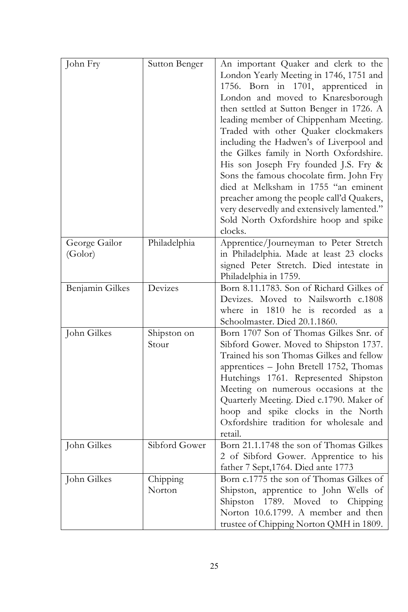| John Fry                 | Sutton Benger        | An important Quaker and clerk to the<br>London Yearly Meeting in 1746, 1751 and<br>1756. Born in 1701, apprenticed in<br>London and moved to Knaresborough<br>then settled at Sutton Benger in 1726. A<br>leading member of Chippenham Meeting.<br>Traded with other Quaker clockmakers<br>including the Hadwen's of Liverpool and<br>the Gilkes family in North Oxfordshire.<br>His son Joseph Fry founded J.S. Fry &<br>Sons the famous chocolate firm. John Fry<br>died at Melksham in 1755 "an eminent<br>preacher among the people call'd Quakers,<br>very deservedly and extensively lamented."<br>Sold North Oxfordshire hoop and spike<br>clocks. |
|--------------------------|----------------------|-----------------------------------------------------------------------------------------------------------------------------------------------------------------------------------------------------------------------------------------------------------------------------------------------------------------------------------------------------------------------------------------------------------------------------------------------------------------------------------------------------------------------------------------------------------------------------------------------------------------------------------------------------------|
| George Gailor<br>(Golor) | Philadelphia         | Apprentice/Journeyman to Peter Stretch<br>in Philadelphia. Made at least 23 clocks<br>signed Peter Stretch. Died intestate in<br>Philadelphia in 1759.                                                                                                                                                                                                                                                                                                                                                                                                                                                                                                    |
| Benjamin Gilkes          | Devizes              | Born 8.11.1783. Son of Richard Gilkes of<br>Devizes. Moved to Nailsworth c.1808<br>where in 1810 he is recorded as<br><sub>a</sub><br>Schoolmaster. Died 20.1.1860.                                                                                                                                                                                                                                                                                                                                                                                                                                                                                       |
| John Gilkes              | Shipston on<br>Stour | Born 1707 Son of Thomas Gilkes Snr. of<br>Sibford Gower. Moved to Shipston 1737.<br>Trained his son Thomas Gilkes and fellow<br>apprentices - John Bretell 1752, Thomas<br>Hutchings 1761. Represented Shipston<br>Meeting on numerous occasions at the<br>Quarterly Meeting. Died c.1790. Maker of<br>hoop and spike clocks in the North<br>Oxfordshire tradition for wholesale and<br>retail.                                                                                                                                                                                                                                                           |
| John Gilkes              | Sibford Gower        | Born 21.1.1748 the son of Thomas Gilkes<br>2 of Sibford Gower. Apprentice to his<br>father 7 Sept, 1764. Died ante 1773                                                                                                                                                                                                                                                                                                                                                                                                                                                                                                                                   |
| John Gilkes              | Chipping<br>Norton   | Born c.1775 the son of Thomas Gilkes of<br>Shipston, apprentice to John Wells of<br>Shipston<br>1789. Moved to<br>Chipping<br>Norton 10.6.1799. A member and then<br>trustee of Chipping Norton QMH in 1809.                                                                                                                                                                                                                                                                                                                                                                                                                                              |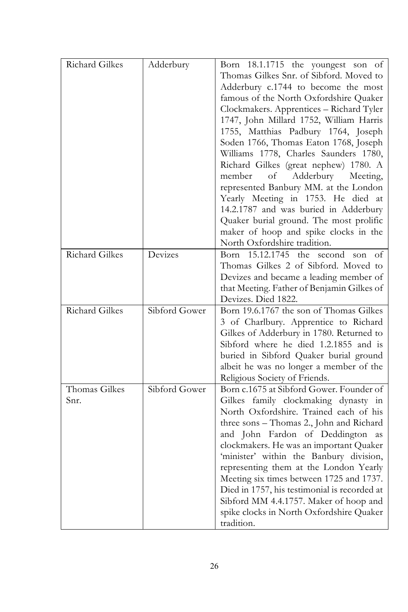| Richard Gilkes        | Adderbury     | Born 18.1.1715 the youngest son of<br>Thomas Gilkes Snr. of Sibford. Moved to<br>Adderbury c.1744 to become the most<br>famous of the North Oxfordshire Quaker<br>Clockmakers. Apprentices - Richard Tyler<br>1747, John Millard 1752, William Harris<br>1755, Matthias Padbury 1764, Joseph                                                                                                                                                                                                                                               |
|-----------------------|---------------|--------------------------------------------------------------------------------------------------------------------------------------------------------------------------------------------------------------------------------------------------------------------------------------------------------------------------------------------------------------------------------------------------------------------------------------------------------------------------------------------------------------------------------------------|
|                       |               | Soden 1766, Thomas Eaton 1768, Joseph<br>Williams 1778, Charles Saunders 1780,                                                                                                                                                                                                                                                                                                                                                                                                                                                             |
|                       |               | Richard Gilkes (great nephew) 1780. A<br>of<br>Adderbury<br>member<br>Meeting,                                                                                                                                                                                                                                                                                                                                                                                                                                                             |
|                       |               | represented Banbury MM. at the London<br>Yearly Meeting in 1753. He died at<br>14.2.1787 and was buried in Adderbury                                                                                                                                                                                                                                                                                                                                                                                                                       |
|                       |               | Quaker burial ground. The most prolific<br>maker of hoop and spike clocks in the                                                                                                                                                                                                                                                                                                                                                                                                                                                           |
|                       |               | North Oxfordshire tradition.                                                                                                                                                                                                                                                                                                                                                                                                                                                                                                               |
| Richard Gilkes        | Devizes       | Born 15.12.1745 the second<br>son<br>of<br>Thomas Gilkes 2 of Sibford. Moved to<br>Devizes and became a leading member of<br>that Meeting. Father of Benjamin Gilkes of<br>Devizes. Died 1822.                                                                                                                                                                                                                                                                                                                                             |
| <b>Richard Gilkes</b> | Sibford Gower | Born 19.6.1767 the son of Thomas Gilkes<br>3 of Charlbury. Apprentice to Richard<br>Gilkes of Adderbury in 1780. Returned to<br>Sibford where he died 1.2.1855 and is<br>buried in Sibford Quaker burial ground<br>albeit he was no longer a member of the<br>Religious Society of Friends.                                                                                                                                                                                                                                                |
| Thomas Gilkes<br>Snr. | Sibford Gower | Born c.1675 at Sibford Gower. Founder of<br>Gilkes family clockmaking dynasty in<br>North Oxfordshire. Trained each of his<br>three sons - Thomas 2., John and Richard<br>and John Fardon of Deddington as<br>clockmakers. He was an important Quaker<br>'minister' within the Banbury division,<br>representing them at the London Yearly<br>Meeting six times between 1725 and 1737.<br>Died in 1757, his testimonial is recorded at<br>Sibford MM 4.4.1757. Maker of hoop and<br>spike clocks in North Oxfordshire Quaker<br>tradition. |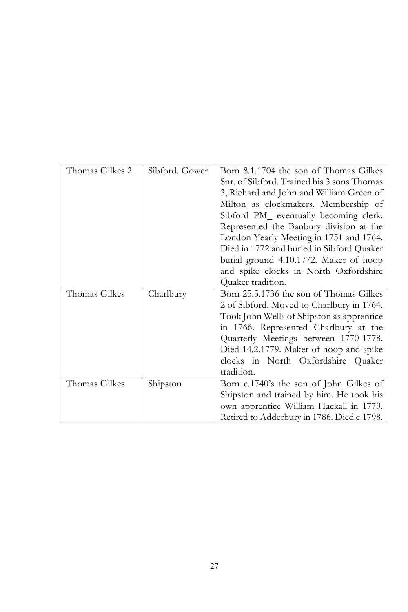| Thomas Gilkes 2 | Sibford. Gower | Born 8.1.1704 the son of Thomas Gilkes     |
|-----------------|----------------|--------------------------------------------|
|                 |                | Snr. of Sibford. Trained his 3 sons Thomas |
|                 |                | 3, Richard and John and William Green of   |
|                 |                | Milton as clockmakers. Membership of       |
|                 |                | Sibford PM_ eventually becoming clerk.     |
|                 |                | Represented the Banbury division at the    |
|                 |                | London Yearly Meeting in 1751 and 1764.    |
|                 |                | Died in 1772 and buried in Sibford Quaker  |
|                 |                | burial ground 4.10.1772. Maker of hoop     |
|                 |                | and spike clocks in North Oxfordshire      |
|                 |                | Quaker tradition.                          |
| Thomas Gilkes   | Charlbury      | Born 25.5.1736 the son of Thomas Gilkes    |
|                 |                | 2 of Sibford. Moved to Charlbury in 1764.  |
|                 |                | Took John Wells of Shipston as apprentice  |
|                 |                | in 1766. Represented Charlbury at the      |
|                 |                | Quarterly Meetings between 1770-1778.      |
|                 |                | Died 14.2.1779. Maker of hoop and spike    |
|                 |                | clocks in North Oxfordshire Quaker         |
|                 |                | tradition.                                 |
| Thomas Gilkes   | Shipston       | Born c.1740's the son of John Gilkes of    |
|                 |                | Shipston and trained by him. He took his   |
|                 |                | own apprentice William Hackall in 1779.    |
|                 |                | Retired to Adderbury in 1786. Died c.1798. |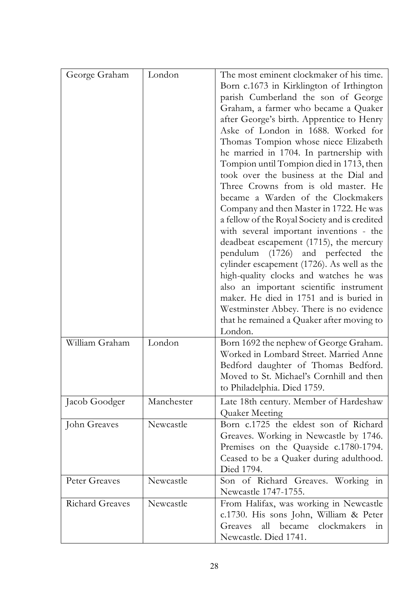| George Graham          | London     | The most eminent clockmaker of his time.<br>Born c.1673 in Kirklington of Irthington<br>parish Cumberland the son of George<br>Graham, a farmer who became a Quaker<br>after George's birth. Apprentice to Henry<br>Aske of London in 1688. Worked for<br>Thomas Tompion whose niece Elizabeth<br>he married in 1704. In partnership with<br>Tompion until Tompion died in 1713, then<br>took over the business at the Dial and<br>Three Crowns from is old master. He<br>became a Warden of the Clockmakers<br>Company and then Master in 1722. He was<br>a fellow of the Royal Society and is credited<br>with several important inventions - the<br>deadbeat escapement (1715), the mercury<br>pendulum (1726) and perfected<br>the<br>cylinder escapement (1726). As well as the<br>high-quality clocks and watches he was<br>also an important scientific instrument<br>maker. He died in 1751 and is buried in<br>Westminster Abbey. There is no evidence<br>that he remained a Quaker after moving to<br>London. |
|------------------------|------------|-------------------------------------------------------------------------------------------------------------------------------------------------------------------------------------------------------------------------------------------------------------------------------------------------------------------------------------------------------------------------------------------------------------------------------------------------------------------------------------------------------------------------------------------------------------------------------------------------------------------------------------------------------------------------------------------------------------------------------------------------------------------------------------------------------------------------------------------------------------------------------------------------------------------------------------------------------------------------------------------------------------------------|
| William Graham         | London     | Born 1692 the nephew of George Graham.<br>Worked in Lombard Street. Married Anne<br>Bedford daughter of Thomas Bedford.<br>Moved to St. Michael's Cornhill and then<br>to Philadelphia. Died 1759.                                                                                                                                                                                                                                                                                                                                                                                                                                                                                                                                                                                                                                                                                                                                                                                                                      |
| Jacob Goodger          | Manchester | Late 18th century. Member of Hardeshaw<br>Quaker Meeting                                                                                                                                                                                                                                                                                                                                                                                                                                                                                                                                                                                                                                                                                                                                                                                                                                                                                                                                                                |
| John Greaves           | Newcastle  | Born c.1725 the eldest son of Richard<br>Greaves. Working in Newcastle by 1746.<br>Premises on the Quayside c.1780-1794.<br>Ceased to be a Quaker during adulthood.<br>Died 1794.                                                                                                                                                                                                                                                                                                                                                                                                                                                                                                                                                                                                                                                                                                                                                                                                                                       |
| Peter Greaves          | Newcastle  | Son of Richard Greaves. Working in<br>Newcastle 1747-1755.                                                                                                                                                                                                                                                                                                                                                                                                                                                                                                                                                                                                                                                                                                                                                                                                                                                                                                                                                              |
| <b>Richard Greaves</b> | Newcastle  | From Halifax, was working in Newcastle<br>c.1730. His sons John, William & Peter<br>clockmakers<br>Greaves<br>all<br>became<br>in<br>Newcastle. Died 1741.                                                                                                                                                                                                                                                                                                                                                                                                                                                                                                                                                                                                                                                                                                                                                                                                                                                              |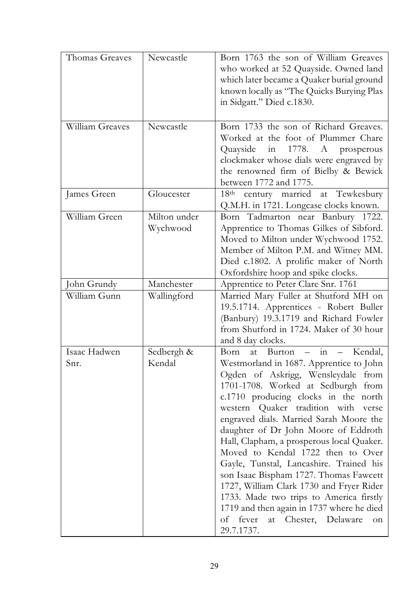| Thomas Greaves              | Newcastle    | Born 1763 the son of William Greaves                                                        |
|-----------------------------|--------------|---------------------------------------------------------------------------------------------|
|                             |              | who worked at 52 Quayside. Owned land                                                       |
|                             |              | which later became a Quaker burial ground                                                   |
|                             |              | known locally as "The Quicks Burying Plas                                                   |
|                             |              | in Sidgatt." Died c.1830.                                                                   |
|                             |              |                                                                                             |
| William Greaves             | Newcastle    | Born 1733 the son of Richard Greaves.                                                       |
|                             |              | Worked at the foot of Plummer Chare                                                         |
|                             |              | Quayside<br>in<br>1778.<br>А<br>prosperous                                                  |
|                             |              | clockmaker whose dials were engraved by                                                     |
|                             |              | the renowned firm of Bielby & Bewick                                                        |
|                             |              | between 1772 and 1775.                                                                      |
| James Green                 | Gloucester   | century married at Tewkesbury<br>18 <sup>th</sup><br>Q.M.H. in 1721. Longcase clocks known. |
| William Green               | Milton under | Born Tadmarton near Banbury 1722.                                                           |
|                             | Wychwood     | Apprentice to Thomas Gilkes of Sibford.                                                     |
|                             |              | Moved to Milton under Wychwood 1752.                                                        |
|                             |              | Member of Milton P.M. and Witney MM.                                                        |
|                             |              | Died c.1802. A prolific maker of North                                                      |
|                             |              | Oxfordshire hoop and spike clocks.                                                          |
| John Grundy<br>William Gunn | Manchester   | Apprentice to Peter Clare Snr. 1761                                                         |
|                             | Wallingford  | Married Mary Fuller at Shutford MH on<br>19.5.1714. Apprentices - Robert Buller             |
|                             |              | (Banbury) 19.3.1719 and Richard Fowler                                                      |
|                             |              | from Shutford in 1724. Maker of 30 hour                                                     |
|                             |              | and 8 day clocks.                                                                           |
| Isaac Hadwen                | Sedbergh &   | Born<br>Burton<br>Kendal,<br>at<br>$-$ in<br>$\equiv$                                       |
| Snr.                        | Kendal       | Westmorland in 1687. Apprentice to John                                                     |
|                             |              | Ogden of Askrigg, Wensleydale from                                                          |
|                             |              | 1701-1708. Worked at Sedburgh from                                                          |
|                             |              | c.1710 producing clocks in the north                                                        |
|                             |              | western Quaker tradition with verse                                                         |
|                             |              | engraved dials. Married Sarah Moore the                                                     |
|                             |              | daughter of Dr John Moore of Eddroth                                                        |
|                             |              | Hall, Clapham, a prosperous local Quaker.                                                   |
|                             |              | Moved to Kendal 1722 then to Over                                                           |
|                             |              | Gayle, Tunstal, Lancashire. Trained his                                                     |
|                             |              | son Isaac Bispham 1727. Thomas Fawcett                                                      |
|                             |              | 1727, William Clark 1730 and Fryer Rider                                                    |
|                             |              | 1733. Made two trips to America firstly<br>1719 and then again in 1737 where he died        |
|                             |              | of<br>fever<br>Chester, Delaware<br>at<br>on                                                |
|                             |              | 29.7.1737.                                                                                  |
|                             |              |                                                                                             |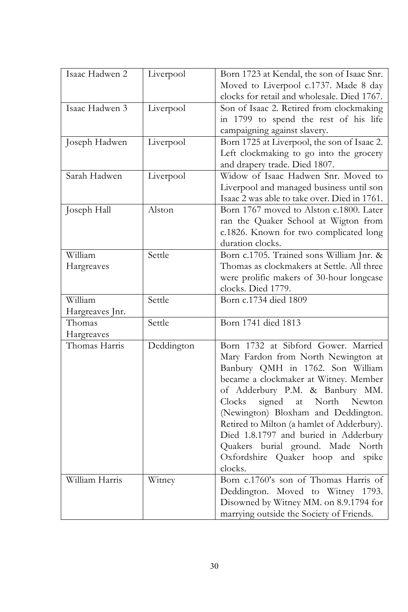| Isaac Hadwen 2  | Liverpool  | Born 1723 at Kendal, the son of Isaac Snr.                                         |
|-----------------|------------|------------------------------------------------------------------------------------|
|                 |            | Moved to Liverpool c.1737. Made 8 day                                              |
|                 |            | clocks for retail and wholesale. Died 1767.                                        |
| Isaac Hadwen 3  | Liverpool  | Son of Isaac 2. Retired from clockmaking                                           |
|                 |            | in 1799 to spend the rest of his life                                              |
|                 |            | campaigning against slavery.                                                       |
| Joseph Hadwen   | Liverpool  | Born 1725 at Liverpool, the son of Isaac 2.                                        |
|                 |            | Left clockmaking to go into the grocery                                            |
|                 |            | and drapery trade. Died 1807.                                                      |
| Sarah Hadwen    | Liverpool  | Widow of Isaac Hadwen Snr. Moved to                                                |
|                 |            | Liverpool and managed business until son                                           |
|                 |            | Isaac 2 was able to take over. Died in 1761.                                       |
| Joseph Hall     | Alston     | Born 1767 moved to Alston c.1800. Later                                            |
|                 |            | ran the Quaker School at Wigton from                                               |
|                 |            | c.1826. Known for two complicated long                                             |
|                 |            | duration clocks.                                                                   |
| William         | Settle     | Born c.1705. Trained sons William Jnr. &                                           |
| Hargreaves      |            | Thomas as clockmakers at Settle. All three                                         |
|                 |            | were prolific makers of 30-hour longcase                                           |
|                 |            | clocks. Died 1779.                                                                 |
| William         | Settle     | Born c.1734 died 1809                                                              |
| Hargreaves Jnr. |            |                                                                                    |
| Thomas          | Settle     | Born 1741 died 1813                                                                |
| Hargreaves      |            |                                                                                    |
| Thomas Harris   | Deddington | Born 1732 at Sibford Gower. Married                                                |
|                 |            | Mary Fardon from North Newington at                                                |
|                 |            | Banbury QMH in 1762. Son William                                                   |
|                 |            | became a clockmaker at Witney. Member                                              |
|                 |            | of Adderbury P.M. & Banbury MM.                                                    |
|                 |            | signed<br>North<br>Clocks<br>at<br>Newton                                          |
|                 |            | (Newington) Bloxham and Deddington.                                                |
|                 |            | Retired to Milton (a hamlet of Adderbury).                                         |
|                 |            | Died 1.8.1797 and buried in Adderbury                                              |
|                 |            | Quakers burial ground. Made North                                                  |
|                 |            | Oxfordshire Quaker hoop and spike                                                  |
|                 |            | clocks.                                                                            |
| William Harris  | Witney     | Born c.1760's son of Thomas Harris of                                              |
|                 |            |                                                                                    |
|                 |            | Deddington. Moved to Witney<br>1793.                                               |
|                 |            | Disowned by Witney MM. on 8.9.1794 for<br>marrying outside the Society of Friends. |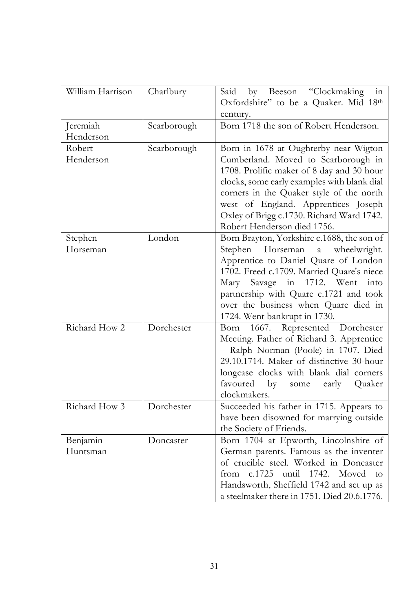| William Harrison | Charlbury   | by Beeson "Clockmaking<br>Said<br>in        |
|------------------|-------------|---------------------------------------------|
|                  |             | Oxfordshire" to be a Quaker. Mid 18th       |
|                  |             | century.                                    |
| Jeremiah         | Scarborough | Born 1718 the son of Robert Henderson.      |
| Henderson        |             |                                             |
| Robert           | Scarborough | Born in 1678 at Oughterby near Wigton       |
| Henderson        |             | Cumberland. Moved to Scarborough in         |
|                  |             | 1708. Prolific maker of 8 day and 30 hour   |
|                  |             | clocks, some early examples with blank dial |
|                  |             | corners in the Quaker style of the north    |
|                  |             | west of England. Apprentices Joseph         |
|                  |             | Oxley of Brigg c.1730. Richard Ward 1742.   |
|                  |             | Robert Henderson died 1756.                 |
| Stephen          | London      | Born Brayton, Yorkshire c.1688, the son of  |
| Horseman         |             | Horseman<br>a wheelwright.<br>Stephen       |
|                  |             | Apprentice to Daniel Quare of London        |
|                  |             | 1702. Freed c.1709. Married Quare's niece   |
|                  |             | 1712. Went<br>Mary Savage in<br>into        |
|                  |             | partnership with Quare c.1721 and took      |
|                  |             | over the business when Quare died in        |
|                  |             | 1724. Went bankrupt in 1730.                |
| Richard How 2    | Dorchester  | 1667. Represented Dorchester<br>Born        |
|                  |             | Meeting. Father of Richard 3. Apprentice    |
|                  |             | - Ralph Norman (Poole) in 1707. Died        |
|                  |             | 29.10.1714. Maker of distinctive 30-hour    |
|                  |             | longcase clocks with blank dial corners     |
|                  |             | favoured by<br>some<br>early Quaker         |
|                  |             | clockmakers.                                |
| Richard How 3    | Dorchester  | Succeeded his father in 1715. Appears to    |
|                  |             | have been disowned for marrying outside     |
|                  |             | the Society of Friends.                     |
| Benjamin         | Doncaster   | Born 1704 at Epworth, Lincolnshire of       |
| Huntsman         |             | German parents. Famous as the inventer      |
|                  |             | of crucible steel. Worked in Doncaster      |
|                  |             | c.1725<br>until 1742. Moved<br>from<br>to   |
|                  |             | Handsworth, Sheffield 1742 and set up as    |
|                  |             | a steelmaker there in 1751. Died 20.6.1776. |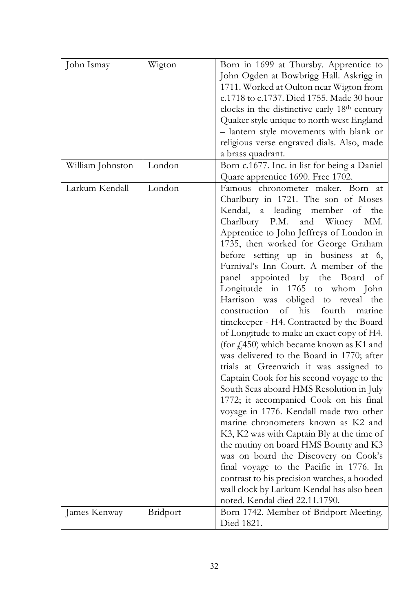| John Ismay       | Wigton<br>London | Born in 1699 at Thursby. Apprentice to<br>John Ogden at Bowbrigg Hall. Askrigg in<br>1711. Worked at Oulton near Wigton from<br>c.1718 to c.1737. Died 1755. Made 30 hour<br>clocks in the distinctive early 18th century<br>Quaker style unique to north west England<br>- lantern style movements with blank or<br>religious verse engraved dials. Also, made<br>a brass quadrant.                                                                                                                                                                                                                                                                                                                                                                                                                                                                                                                                                                                                                                                                                                                                                                                                                                                                                                             |
|------------------|------------------|--------------------------------------------------------------------------------------------------------------------------------------------------------------------------------------------------------------------------------------------------------------------------------------------------------------------------------------------------------------------------------------------------------------------------------------------------------------------------------------------------------------------------------------------------------------------------------------------------------------------------------------------------------------------------------------------------------------------------------------------------------------------------------------------------------------------------------------------------------------------------------------------------------------------------------------------------------------------------------------------------------------------------------------------------------------------------------------------------------------------------------------------------------------------------------------------------------------------------------------------------------------------------------------------------|
| William Johnston |                  | Born c.1677. Inc. in list for being a Daniel<br>Quare apprentice 1690. Free 1702.                                                                                                                                                                                                                                                                                                                                                                                                                                                                                                                                                                                                                                                                                                                                                                                                                                                                                                                                                                                                                                                                                                                                                                                                                |
| Larkum Kendall   | London           | Famous chronometer maker. Born at<br>Charlbury in 1721. The son of Moses<br>Kendal, a<br>leading<br>member<br>of<br>the<br>Charlbury P.M.<br>and<br>Witney<br>MM.<br>Apprentice to John Jeffreys of London in<br>1735, then worked for George Graham<br>before setting up in business at<br>Furnival's Inn Court. A member of the<br>appointed by the<br>Board<br>panel<br>οf<br>Longitutde in 1765 to whom John<br>obliged<br>Harrison was<br>to<br>reveal<br>the<br>his<br>of<br>fourth<br>construction<br>marine<br>timekeeper - H4. Contracted by the Board<br>of Longitude to make an exact copy of H4.<br>(for $\text{\textsterling}450$ ) which became known as K1 and<br>was delivered to the Board in 1770; after<br>trials at Greenwich it was assigned to<br>Captain Cook for his second voyage to the<br>South Seas aboard HMS Resolution in July<br>1772; it accompanied Cook on his final<br>voyage in 1776. Kendall made two other<br>marine chronometers known as K2 and<br>K3, K2 was with Captain Bly at the time of<br>the mutiny on board HMS Bounty and K3<br>was on board the Discovery on Cook's<br>final voyage to the Pacific in 1776. In<br>contrast to his precision watches, a hooded<br>wall clock by Larkum Kendal has also been<br>noted. Kendal died 22.11.1790. |
| James Kenway     | Bridport         | Born 1742. Member of Bridport Meeting.<br>Died 1821.                                                                                                                                                                                                                                                                                                                                                                                                                                                                                                                                                                                                                                                                                                                                                                                                                                                                                                                                                                                                                                                                                                                                                                                                                                             |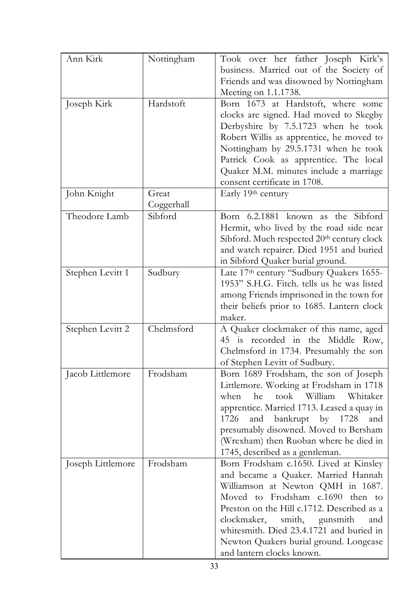| Ann Kirk          | Nottingham | Took over her father Joseph Kirk's                                                     |
|-------------------|------------|----------------------------------------------------------------------------------------|
|                   |            | business. Married out of the Society of<br>Friends and was disowned by Nottingham      |
|                   |            | Meeting on 1.1.1738.                                                                   |
| Joseph Kirk       | Hardstoft  | Born 1673 at Hardstoft, where some                                                     |
|                   |            | clocks are signed. Had moved to Skegby                                                 |
|                   |            | Derbyshire by 7.5.1723 when he took<br>Robert Willis as apprentice, he moved to        |
|                   |            | Nottingham by 29.5.1731 when he took                                                   |
|                   |            | Patrick Cook as apprentice. The local                                                  |
|                   |            | Quaker M.M. minutes include a marriage                                                 |
|                   | Great      | consent certificate in 1708.                                                           |
| John Knight       | Coggerhall | Early 19th century                                                                     |
| Theodore Lamb     | Sibford    | Born 6.2.1881 known as the Sibford                                                     |
|                   |            | Hermit, who lived by the road side near                                                |
|                   |            | Sibford. Much respected 20th century clock<br>and watch repairer. Died 1951 and buried |
|                   |            | in Sibford Quaker burial ground.                                                       |
| Stephen Levitt 1  | Sudbury    | Late 17th century "Sudbury Quakers 1655-                                               |
|                   |            | 1953" S.H.G. Fitch. tells us he was listed                                             |
|                   |            | among Friends imprisoned in the town for<br>their beliefs prior to 1685. Lantern clock |
|                   |            | maker.                                                                                 |
| Stephen Levitt 2  | Chelmsford | A Quaker clockmaker of this name, aged                                                 |
|                   |            | 45 is recorded in the Middle Row,                                                      |
|                   |            | Chelmsford in 1734. Presumably the son<br>of Stephen Levitt of Sudbury.                |
| Jacob Littlemore  | Frodsham   | Born 1689 Frodsham, the son of Joseph                                                  |
|                   |            | Littlemore. Working at Frodsham in 1718                                                |
|                   |            | took William Whitaker<br>when<br>he                                                    |
|                   |            | apprentice. Married 1713. Leased a quay in<br>1726<br>and bankrupt by 1728<br>and      |
|                   |            | presumably disowned. Moved to Bersham                                                  |
|                   |            | (Wrexham) then Ruoban where he died in                                                 |
|                   |            | 1745, described as a gentleman.                                                        |
| Joseph Littlemore | Frodsham   | Born Frodsham c.1650. Lived at Kinsley                                                 |
|                   |            | and became a Quaker. Married Hannah<br>Williamson at Newton QMH in 1687.               |
|                   |            | Moved to Frodsham c.1690 then to                                                       |
|                   |            | Preston on the Hill c.1712. Described as a                                             |
|                   |            | clockmaker,<br>smith, gunsmith<br>and                                                  |
|                   |            | whitesmith. Died 23.4.1721 and buried in<br>Newton Quakers burial ground. Longcase     |
|                   |            | and lantern clocks known.                                                              |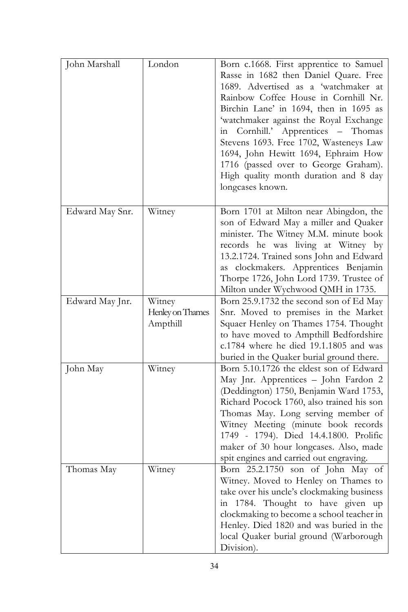| John Marshall   | London                                 | Born c.1668. First apprentice to Samuel<br>Rasse in 1682 then Daniel Quare. Free<br>1689. Advertised as a 'watchmaker at<br>Rainbow Coffee House in Cornhill Nr.<br>Birchin Lane' in 1694, then in 1695 as<br>'watchmaker against the Royal Exchange<br>in Cornhill.' Apprentices - Thomas<br>Stevens 1693. Free 1702, Wasteneys Law<br>1694, John Hewitt 1694, Ephraim How<br>1716 (passed over to George Graham).<br>High quality month duration and 8 day<br>longcases known. |
|-----------------|----------------------------------------|----------------------------------------------------------------------------------------------------------------------------------------------------------------------------------------------------------------------------------------------------------------------------------------------------------------------------------------------------------------------------------------------------------------------------------------------------------------------------------|
| Edward May Snr. | Witney                                 | Born 1701 at Milton near Abingdon, the<br>son of Edward May a miller and Quaker<br>minister. The Witney M.M. minute book<br>records he was living at Witney by<br>13.2.1724. Trained sons John and Edward<br>as clockmakers. Apprentices Benjamin<br>Thorpe 1726, John Lord 1739. Trustee of<br>Milton under Wychwood QMH in 1735.                                                                                                                                               |
| Edward May Jnr. | Witney<br>Henley on Thames<br>Ampthill | Born 25.9.1732 the second son of Ed May<br>Snr. Moved to premises in the Market<br>Squaer Henley on Thames 1754. Thought<br>to have moved to Ampthill Bedfordshire<br>c.1784 where he died 19.1.1805 and was<br>buried in the Quaker burial ground there.                                                                                                                                                                                                                        |
| John May        | Witney                                 | Born 5.10.1726 the eldest son of Edward<br>May Jnr. Apprentices - John Fardon 2<br>(Deddington) 1750, Benjamin Ward 1753,<br>Richard Pocock 1760, also trained his son<br>Thomas May. Long serving member of<br>Witney Meeting (minute book records<br>1749 - 1794). Died 14.4.1800. Prolific<br>maker of 30 hour longcases. Also, made<br>spit engines and carried out engraving.                                                                                               |
| Thomas May      | Witney                                 | Born 25.2.1750 son of John May of<br>Witney. Moved to Henley on Thames to<br>take over his uncle's clockmaking business<br>1784. Thought to have given up<br>ın<br>clockmaking to become a school teacher in<br>Henley. Died 1820 and was buried in the<br>local Quaker burial ground (Warborough<br>Division).                                                                                                                                                                  |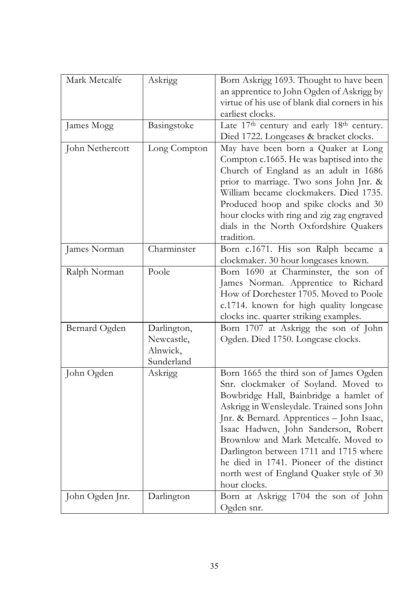| Mark Metcalfe   | Askrigg      | Born Askrigg 1693. Thought to have been        |
|-----------------|--------------|------------------------------------------------|
|                 |              | an apprentice to John Ogden of Askrigg by      |
|                 |              | virtue of his use of blank dial corners in his |
|                 |              |                                                |
|                 |              | earliest clocks.                               |
| James Mogg      | Basingstoke  | Late 17th century and early 18th century.      |
|                 |              | Died 1722. Longcases & bracket clocks.         |
| John Nethercott | Long Compton | May have been born a Quaker at Long            |
|                 |              | Compton c.1665. He was baptised into the       |
|                 |              | Church of England as an adult in 1686          |
|                 |              | prior to marriage. Two sons John Jnr. &        |
|                 |              | William became clockmakers. Died 1735.         |
|                 |              | Produced hoop and spike clocks and 30          |
|                 |              | hour clocks with ring and zig zag engraved     |
|                 |              | dials in the North Oxfordshire Quakers         |
|                 |              | tradition.                                     |
| James Norman    | Charminster  | Born c.1671. His son Ralph became a            |
|                 |              | clockmaker. 30 hour longcases known.           |
| Ralph Norman    | Poole        | Born 1690 at Charminster, the son of           |
|                 |              | James Norman. Apprentice to Richard            |
|                 |              | How of Dorchester 1705. Moved to Poole         |
|                 |              | c.1714. known for high quality longcase        |
|                 |              | clocks inc. quarter striking examples.         |
| Bernard Ogden   | Darlington,  | Born 1707 at Askrigg the son of John           |
|                 | Newcastle,   | Ogden. Died 1750. Longcase clocks.             |
|                 | Alnwick,     |                                                |
|                 | Sunderland   |                                                |
| John Ogden      | Askrigg      | Born 1665 the third son of James Ogden         |
|                 |              | Snr. clockmaker of Soyland. Moved to           |
|                 |              | Bowbridge Hall, Bainbridge a hamlet of         |
|                 |              | Askrigg in Wensleydale. Trained sons John      |
|                 |              | Jnr. & Bernard. Apprentices - John Isaac,      |
|                 |              | Isaac Hadwen, John Sanderson, Robert           |
|                 |              | Brownlow and Mark Metcalfe. Moved to           |
|                 |              | Darlington between 1711 and 1715 where         |
|                 |              | he died in 1741. Pioneer of the distinct       |
|                 |              | north west of England Quaker style of 30       |
|                 |              | hour clocks.                                   |
| John Ogden Jnr. | Darlington   | Born at Askrigg 1704 the son of John           |
|                 |              | Ogden snr.                                     |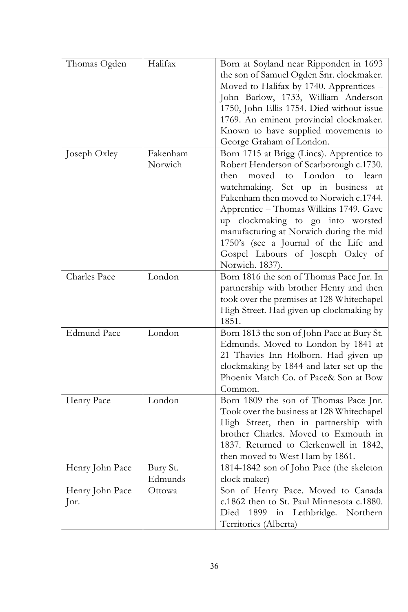| Thomas Ogden            | Halifax             | Born at Soyland near Ripponden in 1693<br>the son of Samuel Ogden Snr. clockmaker.<br>Moved to Halifax by 1740. Apprentices -<br>John Barlow, 1733, William Anderson<br>1750, John Ellis 1754. Died without issue<br>1769. An eminent provincial clockmaker.<br>Known to have supplied movements to<br>George Graham of London.                                                                                                              |
|-------------------------|---------------------|----------------------------------------------------------------------------------------------------------------------------------------------------------------------------------------------------------------------------------------------------------------------------------------------------------------------------------------------------------------------------------------------------------------------------------------------|
| Joseph Oxley            | Fakenham<br>Norwich | Born 1715 at Brigg (Lincs). Apprentice to<br>Robert Henderson of Scarborough c.1730.<br>moved to<br>London<br>to learn<br>then<br>watchmaking. Set up in business<br>at<br>Fakenham then moved to Norwich c.1744.<br>Apprentice - Thomas Wilkins 1749. Gave<br>up clockmaking to go into worsted<br>manufacturing at Norwich during the mid<br>1750's (see a Journal of the Life and<br>Gospel Labours of Joseph Oxley of<br>Norwich. 1837). |
| <b>Charles</b> Pace     | London              | Born 1816 the son of Thomas Pace Jnr. In<br>partnership with brother Henry and then<br>took over the premises at 128 Whitechapel<br>High Street. Had given up clockmaking by<br>1851.                                                                                                                                                                                                                                                        |
| <b>Edmund Pace</b>      | London              | Born 1813 the son of John Pace at Bury St.<br>Edmunds. Moved to London by 1841 at<br>21 Thavies Inn Holborn. Had given up<br>clockmaking by 1844 and later set up the<br>Phoenix Match Co. of Pace& Son at Bow<br>Common.                                                                                                                                                                                                                    |
| Henry Pace              | London              | Born 1809 the son of Thomas Pace Jnr.<br>Took over the business at 128 Whitechapel<br>High Street, then in partnership with<br>brother Charles. Moved to Exmouth in<br>1837. Returned to Clerkenwell in 1842,<br>then moved to West Ham by 1861.                                                                                                                                                                                             |
| Henry John Pace         | Bury St.<br>Edmunds | 1814-1842 son of John Pace (the skeleton<br>clock maker)                                                                                                                                                                                                                                                                                                                                                                                     |
| Henry John Pace<br>Inr. | Ottowa              | Son of Henry Pace. Moved to Canada<br>c.1862 then to St. Paul Minnesota c.1880.<br>Died<br>1899 in Lethbridge. Northern<br>Territories (Alberta)                                                                                                                                                                                                                                                                                             |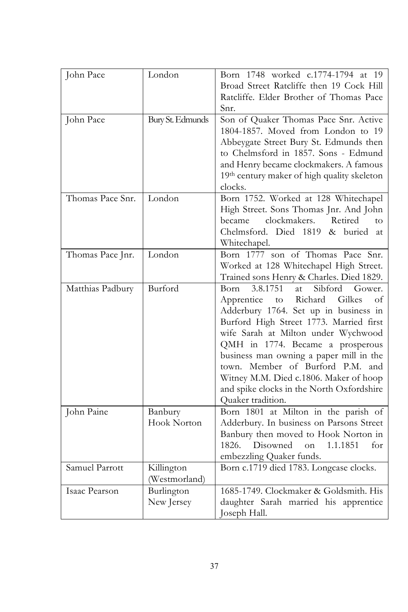| John Pace        | London           | Born 1748 worked c.1774-1794 at 19                   |
|------------------|------------------|------------------------------------------------------|
|                  |                  | Broad Street Ratcliffe then 19 Cock Hill             |
|                  |                  | Ratcliffe. Elder Brother of Thomas Pace              |
|                  |                  |                                                      |
|                  |                  | Snr.                                                 |
| John Pace        | Bury St. Edmunds | Son of Quaker Thomas Pace Snr. Active                |
|                  |                  | 1804-1857. Moved from London to 19                   |
|                  |                  | Abbeygate Street Bury St. Edmunds then               |
|                  |                  | to Chelmsford in 1857. Sons - Edmund                 |
|                  |                  | and Henry became clockmakers. A famous               |
|                  |                  | 19th century maker of high quality skeleton          |
|                  |                  | clocks.                                              |
| Thomas Pace Snr. | London           | Born 1752. Worked at 128 Whitechapel                 |
|                  |                  | High Street. Sons Thomas Jnr. And John               |
|                  |                  | clockmakers.<br>Retired<br>became<br>$\overline{10}$ |
|                  |                  | Chelmsford. Died 1819 & buried<br>at                 |
|                  |                  | Whitechapel.                                         |
| Thomas Pace Jnr. | London           | Born 1777 son of Thomas Pace Snr.                    |
|                  |                  | Worked at 128 Whitechapel High Street.               |
|                  |                  | Trained sons Henry & Charles. Died 1829.             |
| Matthias Padbury | Burford          | 3.8.1751<br>Sibford<br>Born<br>Gower.<br>at a        |
|                  |                  | to<br>Richard<br>Gilkes<br>Apprentice<br>of          |
|                  |                  |                                                      |
|                  |                  | Adderbury 1764. Set up in business in                |
|                  |                  | Burford High Street 1773. Married first              |
|                  |                  | wife Sarah at Milton under Wychwood                  |
|                  |                  | QMH in 1774. Became a prosperous                     |
|                  |                  | business man owning a paper mill in the              |
|                  |                  | town. Member of Burford P.M. and                     |
|                  |                  | Witney M.M. Died c.1806. Maker of hoop               |
|                  |                  | and spike clocks in the North Oxfordshire            |
|                  |                  | Quaker tradition.                                    |
| John Paine       | Banbury          | Born 1801 at Milton in the parish of                 |
|                  | Hook Norton      | Adderbury. In business on Parsons Street             |
|                  |                  | Banbury then moved to Hook Norton in                 |
|                  |                  | 1.1.1851<br>1826.<br>Disowned<br>$\alpha$<br>for     |
|                  |                  | embezzling Quaker funds.                             |
| Samuel Parrott   | Killington       | Born c.1719 died 1783. Longcase clocks.              |
|                  | (Westmorland)    |                                                      |
| Isaac Pearson    | Burlington       | 1685-1749. Clockmaker & Goldsmith. His               |
|                  | New Jersey       | daughter Sarah married his apprentice                |
|                  |                  | Joseph Hall.                                         |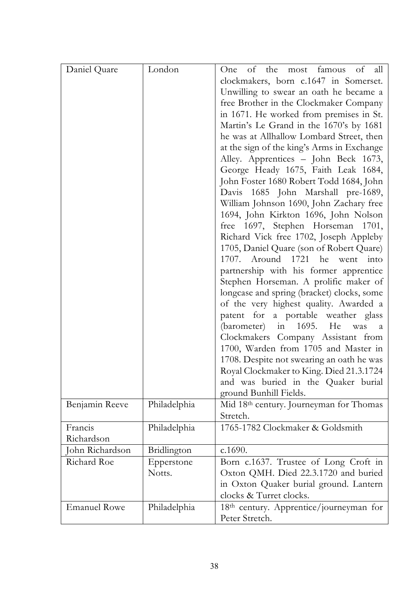| Daniel Quare        | London       | the<br>of<br>most<br>famous<br>One-<br>of<br>all    |
|---------------------|--------------|-----------------------------------------------------|
|                     |              | clockmakers, born c.1647 in Somerset.               |
|                     |              | Unwilling to swear an oath he became a              |
|                     |              |                                                     |
|                     |              | free Brother in the Clockmaker Company              |
|                     |              | in 1671. He worked from premises in St.             |
|                     |              | Martin's Le Grand in the 1670's by 1681             |
|                     |              | he was at Allhallow Lombard Street, then            |
|                     |              | at the sign of the king's Arms in Exchange          |
|                     |              | Alley. Apprentices - John Beck 1673,                |
|                     |              | George Heady 1675, Faith Leak 1684,                 |
|                     |              | John Foster 1680 Robert Todd 1684, John             |
|                     |              | Davis 1685 John Marshall pre-1689,                  |
|                     |              | William Johnson 1690, John Zachary free             |
|                     |              | 1694, John Kirkton 1696, John Nolson                |
|                     |              | free 1697, Stephen Horseman<br>1701,                |
|                     |              | Richard Vick free 1702, Joseph Appleby              |
|                     |              | 1705, Daniel Quare (son of Robert Quare)            |
|                     |              | 1707.<br>Around 1721 he<br>went<br>int <sub>o</sub> |
|                     |              | partnership with his former apprentice              |
|                     |              | Stephen Horseman. A prolific maker of               |
|                     |              | longcase and spring (bracket) clocks, some          |
|                     |              | of the very highest quality. Awarded a              |
|                     |              | patent for<br>a portable weather glass              |
|                     |              | 1695. He was<br>(barometer)<br>in<br>a              |
|                     |              | Clockmakers Company Assistant from                  |
|                     |              |                                                     |
|                     |              | 1700, Warden from 1705 and Master in                |
|                     |              | 1708. Despite not swearing an oath he was           |
|                     |              | Royal Clockmaker to King. Died 21.3.1724            |
|                     |              | and was buried in the Quaker burial                 |
|                     |              | ground Bunhill Fields.                              |
| Benjamin Reeve      | Philadelphia | Mid 18th century. Journeyman for Thomas             |
|                     |              | Stretch.                                            |
| Francis             | Philadelphia | 1765-1782 Clockmaker & Goldsmith                    |
| Richardson          |              |                                                     |
| John Richardson     | Bridlington  | c.1690.                                             |
| Richard Roe         | Epperstone   | Born c.1637. Trustee of Long Croft in               |
|                     | Notts.       | Oxton QMH. Died 22.3.1720 and buried                |
|                     |              | in Oxton Quaker burial ground. Lantern              |
|                     |              | clocks & Turret clocks.                             |
| <b>Emanuel Rowe</b> | Philadelphia | 18th century. Apprentice/journeyman for             |
|                     |              | Peter Stretch.                                      |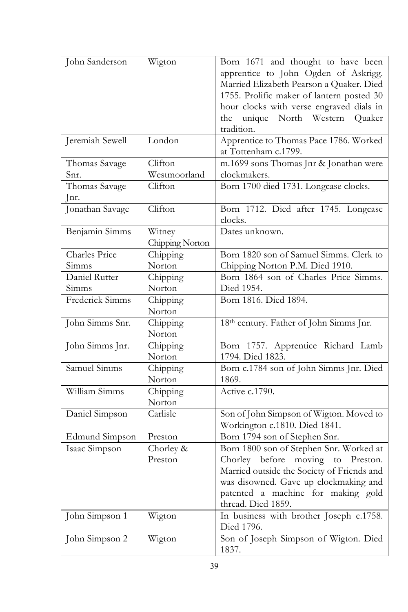| John Sanderson        | Wigton          | Born 1671 and thought to have been                                               |
|-----------------------|-----------------|----------------------------------------------------------------------------------|
|                       |                 | apprentice to John Ogden of Askrigg.<br>Married Elizabeth Pearson a Quaker. Died |
|                       |                 |                                                                                  |
|                       |                 | 1755. Prolific maker of lantern posted 30                                        |
|                       |                 | hour clocks with verse engraved dials in                                         |
|                       |                 | unique North Western Quaker<br>the                                               |
|                       |                 | tradition.                                                                       |
| Jeremiah Sewell       | London          | Apprentice to Thomas Pace 1786. Worked<br>at Tottenham c.1799.                   |
| Thomas Savage         | Clifton         | m.1699 sons Thomas Jnr & Jonathan were                                           |
| Snr.                  | Westmoorland    | clockmakers.                                                                     |
| Thomas Savage         | Clifton         | Born 1700 died 1731. Longcase clocks.                                            |
| Jnr.                  |                 |                                                                                  |
| Jonathan Savage       | Clifton         | Born 1712. Died after 1745. Longcase                                             |
|                       |                 | clocks.                                                                          |
| Benjamin Simms        | Witney          | Dates unknown.                                                                   |
|                       | Chipping Norton |                                                                                  |
| <b>Charles Price</b>  | Chipping        | Born 1820 son of Samuel Simms. Clerk to                                          |
| Simms                 | Norton          | Chipping Norton P.M. Died 1910.                                                  |
| Daniel Rutter         | Chipping        | Born 1864 son of Charles Price Simms.                                            |
| Simms                 | Norton          | Died 1954.                                                                       |
| Frederick Simms       | Chipping        | Born 1816. Died 1894.                                                            |
|                       | Norton          |                                                                                  |
| John Simms Snr.       | Chipping        | 18th century. Father of John Simms Jnr.                                          |
|                       | Norton          |                                                                                  |
| John Simms Jnr.       | Chipping        | Born 1757. Apprentice Richard Lamb                                               |
|                       | Norton          | 1794. Died 1823.                                                                 |
| Samuel Simms          | Chipping        | Born c.1784 son of John Simms Jnr. Died                                          |
|                       | Norton          | 1869.                                                                            |
| William Simms         | Chipping        | Active c.1790.                                                                   |
|                       | Norton          |                                                                                  |
| Daniel Simpson        | Carlisle        | Son of John Simpson of Wigton. Moved to                                          |
|                       |                 | Workington c.1810. Died 1841.                                                    |
| <b>Edmund Simpson</b> | Preston         | Born 1794 son of Stephen Snr.                                                    |
| Isaac Simpson         | Chorley &       | Born 1800 son of Stephen Snr. Worked at                                          |
|                       | Preston         | Chorley before moving to Preston.                                                |
|                       |                 | Married outside the Society of Friends and                                       |
|                       |                 | was disowned. Gave up clockmaking and                                            |
|                       |                 | patented a machine for making gold                                               |
|                       |                 | thread. Died 1859.                                                               |
| John Simpson 1        | Wigton          | In business with brother Joseph c.1758.                                          |
|                       |                 | Died 1796.                                                                       |
| John Simpson 2        | Wigton          | Son of Joseph Simpson of Wigton. Died                                            |
|                       |                 | 1837.                                                                            |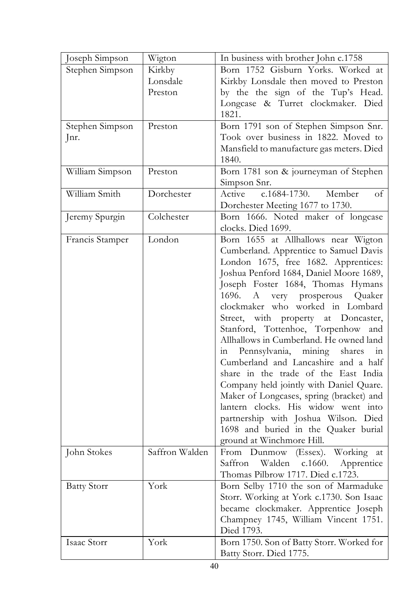| Born 1752 Gisburn Yorks. Worked at<br>Stephen Simpson<br>Kirkby<br>Lonsdale<br>Kirkby Lonsdale then moved to Preston<br>Preston<br>by the the sign of the Tup's Head.<br>Longcase & Turret clockmaker. Died<br>1821.<br>Born 1791 son of Stephen Simpson Snr.<br>Stephen Simpson<br>Preston<br>Took over business in 1822. Moved to<br>Jnr.<br>Mansfield to manufacture gas meters. Died<br>1840.<br>Preston<br>William Simpson<br>Born 1781 son & journeyman of Stephen<br>Simpson Snr.<br>William Smith<br>Dorchester<br>c.1684-1730.<br>Member<br>Active<br>оf<br>Dorchester Meeting 1677 to 1730.<br>Colchester<br>Born 1666. Noted maker of longcase<br>Jeremy Spurgin<br>clocks. Died 1699.<br>London<br>Born 1655 at Allhallows near Wigton<br>Francis Stamper<br>Cumberland. Apprentice to Samuel Davis<br>London 1675, free 1682. Apprentices:<br>Joshua Penford 1684, Daniel Moore 1689,<br>Joseph Foster 1684, Thomas Hymans<br>1696.<br>very prosperous<br>A<br>Quaker<br>clockmaker who worked in Lombard<br>Street, with property at Doncaster,<br>Stanford, Tottenhoe, Torpenhow and<br>Allhallows in Cumberland. He owned land<br>Pennsylvania, mining shares<br>in<br>in<br>Cumberland and Lancashire and a half<br>share in the trade of the East India<br>Company held jointly with Daniel Quare.<br>Maker of Longcases, spring (bracket) and<br>lantern clocks. His widow went into<br>partnership with Joshua Wilson. Died<br>1698 and buried in the Quaker burial<br>ground at Winchmore Hill.<br>Saffron Walden<br>From Dunmow (Essex). Working at<br>John Stokes<br>Saffron Walden c.1660. Apprentice<br>Thomas Pilbrow 1717. Died c.1723.<br>York<br>Born Selby 1710 the son of Marmaduke<br><b>Batty Storr</b><br>Storr. Working at York c.1730. Son Isaac<br>became clockmaker. Apprentice Joseph<br>Champney 1745, William Vincent 1751.<br>Died 1793.<br>York<br>Born 1750. Son of Batty Storr. Worked for<br>Isaac Storr<br>Batty Storr. Died 1775. |                |        |                                      |
|-----------------------------------------------------------------------------------------------------------------------------------------------------------------------------------------------------------------------------------------------------------------------------------------------------------------------------------------------------------------------------------------------------------------------------------------------------------------------------------------------------------------------------------------------------------------------------------------------------------------------------------------------------------------------------------------------------------------------------------------------------------------------------------------------------------------------------------------------------------------------------------------------------------------------------------------------------------------------------------------------------------------------------------------------------------------------------------------------------------------------------------------------------------------------------------------------------------------------------------------------------------------------------------------------------------------------------------------------------------------------------------------------------------------------------------------------------------------------------------------------------------------------------------------------------------------------------------------------------------------------------------------------------------------------------------------------------------------------------------------------------------------------------------------------------------------------------------------------------------------------------------------------------------------------------------------------------------------------------------|----------------|--------|--------------------------------------|
|                                                                                                                                                                                                                                                                                                                                                                                                                                                                                                                                                                                                                                                                                                                                                                                                                                                                                                                                                                                                                                                                                                                                                                                                                                                                                                                                                                                                                                                                                                                                                                                                                                                                                                                                                                                                                                                                                                                                                                                   | Joseph Simpson | Wigton | In business with brother John c.1758 |
|                                                                                                                                                                                                                                                                                                                                                                                                                                                                                                                                                                                                                                                                                                                                                                                                                                                                                                                                                                                                                                                                                                                                                                                                                                                                                                                                                                                                                                                                                                                                                                                                                                                                                                                                                                                                                                                                                                                                                                                   |                |        |                                      |
|                                                                                                                                                                                                                                                                                                                                                                                                                                                                                                                                                                                                                                                                                                                                                                                                                                                                                                                                                                                                                                                                                                                                                                                                                                                                                                                                                                                                                                                                                                                                                                                                                                                                                                                                                                                                                                                                                                                                                                                   |                |        |                                      |
|                                                                                                                                                                                                                                                                                                                                                                                                                                                                                                                                                                                                                                                                                                                                                                                                                                                                                                                                                                                                                                                                                                                                                                                                                                                                                                                                                                                                                                                                                                                                                                                                                                                                                                                                                                                                                                                                                                                                                                                   |                |        |                                      |
|                                                                                                                                                                                                                                                                                                                                                                                                                                                                                                                                                                                                                                                                                                                                                                                                                                                                                                                                                                                                                                                                                                                                                                                                                                                                                                                                                                                                                                                                                                                                                                                                                                                                                                                                                                                                                                                                                                                                                                                   |                |        |                                      |
|                                                                                                                                                                                                                                                                                                                                                                                                                                                                                                                                                                                                                                                                                                                                                                                                                                                                                                                                                                                                                                                                                                                                                                                                                                                                                                                                                                                                                                                                                                                                                                                                                                                                                                                                                                                                                                                                                                                                                                                   |                |        |                                      |
|                                                                                                                                                                                                                                                                                                                                                                                                                                                                                                                                                                                                                                                                                                                                                                                                                                                                                                                                                                                                                                                                                                                                                                                                                                                                                                                                                                                                                                                                                                                                                                                                                                                                                                                                                                                                                                                                                                                                                                                   |                |        |                                      |
|                                                                                                                                                                                                                                                                                                                                                                                                                                                                                                                                                                                                                                                                                                                                                                                                                                                                                                                                                                                                                                                                                                                                                                                                                                                                                                                                                                                                                                                                                                                                                                                                                                                                                                                                                                                                                                                                                                                                                                                   |                |        |                                      |
|                                                                                                                                                                                                                                                                                                                                                                                                                                                                                                                                                                                                                                                                                                                                                                                                                                                                                                                                                                                                                                                                                                                                                                                                                                                                                                                                                                                                                                                                                                                                                                                                                                                                                                                                                                                                                                                                                                                                                                                   |                |        |                                      |
|                                                                                                                                                                                                                                                                                                                                                                                                                                                                                                                                                                                                                                                                                                                                                                                                                                                                                                                                                                                                                                                                                                                                                                                                                                                                                                                                                                                                                                                                                                                                                                                                                                                                                                                                                                                                                                                                                                                                                                                   |                |        |                                      |
|                                                                                                                                                                                                                                                                                                                                                                                                                                                                                                                                                                                                                                                                                                                                                                                                                                                                                                                                                                                                                                                                                                                                                                                                                                                                                                                                                                                                                                                                                                                                                                                                                                                                                                                                                                                                                                                                                                                                                                                   |                |        |                                      |
|                                                                                                                                                                                                                                                                                                                                                                                                                                                                                                                                                                                                                                                                                                                                                                                                                                                                                                                                                                                                                                                                                                                                                                                                                                                                                                                                                                                                                                                                                                                                                                                                                                                                                                                                                                                                                                                                                                                                                                                   |                |        |                                      |
|                                                                                                                                                                                                                                                                                                                                                                                                                                                                                                                                                                                                                                                                                                                                                                                                                                                                                                                                                                                                                                                                                                                                                                                                                                                                                                                                                                                                                                                                                                                                                                                                                                                                                                                                                                                                                                                                                                                                                                                   |                |        |                                      |
|                                                                                                                                                                                                                                                                                                                                                                                                                                                                                                                                                                                                                                                                                                                                                                                                                                                                                                                                                                                                                                                                                                                                                                                                                                                                                                                                                                                                                                                                                                                                                                                                                                                                                                                                                                                                                                                                                                                                                                                   |                |        |                                      |
|                                                                                                                                                                                                                                                                                                                                                                                                                                                                                                                                                                                                                                                                                                                                                                                                                                                                                                                                                                                                                                                                                                                                                                                                                                                                                                                                                                                                                                                                                                                                                                                                                                                                                                                                                                                                                                                                                                                                                                                   |                |        |                                      |
|                                                                                                                                                                                                                                                                                                                                                                                                                                                                                                                                                                                                                                                                                                                                                                                                                                                                                                                                                                                                                                                                                                                                                                                                                                                                                                                                                                                                                                                                                                                                                                                                                                                                                                                                                                                                                                                                                                                                                                                   |                |        |                                      |
|                                                                                                                                                                                                                                                                                                                                                                                                                                                                                                                                                                                                                                                                                                                                                                                                                                                                                                                                                                                                                                                                                                                                                                                                                                                                                                                                                                                                                                                                                                                                                                                                                                                                                                                                                                                                                                                                                                                                                                                   |                |        |                                      |
|                                                                                                                                                                                                                                                                                                                                                                                                                                                                                                                                                                                                                                                                                                                                                                                                                                                                                                                                                                                                                                                                                                                                                                                                                                                                                                                                                                                                                                                                                                                                                                                                                                                                                                                                                                                                                                                                                                                                                                                   |                |        |                                      |
|                                                                                                                                                                                                                                                                                                                                                                                                                                                                                                                                                                                                                                                                                                                                                                                                                                                                                                                                                                                                                                                                                                                                                                                                                                                                                                                                                                                                                                                                                                                                                                                                                                                                                                                                                                                                                                                                                                                                                                                   |                |        |                                      |
|                                                                                                                                                                                                                                                                                                                                                                                                                                                                                                                                                                                                                                                                                                                                                                                                                                                                                                                                                                                                                                                                                                                                                                                                                                                                                                                                                                                                                                                                                                                                                                                                                                                                                                                                                                                                                                                                                                                                                                                   |                |        |                                      |
|                                                                                                                                                                                                                                                                                                                                                                                                                                                                                                                                                                                                                                                                                                                                                                                                                                                                                                                                                                                                                                                                                                                                                                                                                                                                                                                                                                                                                                                                                                                                                                                                                                                                                                                                                                                                                                                                                                                                                                                   |                |        |                                      |
|                                                                                                                                                                                                                                                                                                                                                                                                                                                                                                                                                                                                                                                                                                                                                                                                                                                                                                                                                                                                                                                                                                                                                                                                                                                                                                                                                                                                                                                                                                                                                                                                                                                                                                                                                                                                                                                                                                                                                                                   |                |        |                                      |
|                                                                                                                                                                                                                                                                                                                                                                                                                                                                                                                                                                                                                                                                                                                                                                                                                                                                                                                                                                                                                                                                                                                                                                                                                                                                                                                                                                                                                                                                                                                                                                                                                                                                                                                                                                                                                                                                                                                                                                                   |                |        |                                      |
|                                                                                                                                                                                                                                                                                                                                                                                                                                                                                                                                                                                                                                                                                                                                                                                                                                                                                                                                                                                                                                                                                                                                                                                                                                                                                                                                                                                                                                                                                                                                                                                                                                                                                                                                                                                                                                                                                                                                                                                   |                |        |                                      |
|                                                                                                                                                                                                                                                                                                                                                                                                                                                                                                                                                                                                                                                                                                                                                                                                                                                                                                                                                                                                                                                                                                                                                                                                                                                                                                                                                                                                                                                                                                                                                                                                                                                                                                                                                                                                                                                                                                                                                                                   |                |        |                                      |
|                                                                                                                                                                                                                                                                                                                                                                                                                                                                                                                                                                                                                                                                                                                                                                                                                                                                                                                                                                                                                                                                                                                                                                                                                                                                                                                                                                                                                                                                                                                                                                                                                                                                                                                                                                                                                                                                                                                                                                                   |                |        |                                      |
|                                                                                                                                                                                                                                                                                                                                                                                                                                                                                                                                                                                                                                                                                                                                                                                                                                                                                                                                                                                                                                                                                                                                                                                                                                                                                                                                                                                                                                                                                                                                                                                                                                                                                                                                                                                                                                                                                                                                                                                   |                |        |                                      |
|                                                                                                                                                                                                                                                                                                                                                                                                                                                                                                                                                                                                                                                                                                                                                                                                                                                                                                                                                                                                                                                                                                                                                                                                                                                                                                                                                                                                                                                                                                                                                                                                                                                                                                                                                                                                                                                                                                                                                                                   |                |        |                                      |
|                                                                                                                                                                                                                                                                                                                                                                                                                                                                                                                                                                                                                                                                                                                                                                                                                                                                                                                                                                                                                                                                                                                                                                                                                                                                                                                                                                                                                                                                                                                                                                                                                                                                                                                                                                                                                                                                                                                                                                                   |                |        |                                      |
|                                                                                                                                                                                                                                                                                                                                                                                                                                                                                                                                                                                                                                                                                                                                                                                                                                                                                                                                                                                                                                                                                                                                                                                                                                                                                                                                                                                                                                                                                                                                                                                                                                                                                                                                                                                                                                                                                                                                                                                   |                |        |                                      |
|                                                                                                                                                                                                                                                                                                                                                                                                                                                                                                                                                                                                                                                                                                                                                                                                                                                                                                                                                                                                                                                                                                                                                                                                                                                                                                                                                                                                                                                                                                                                                                                                                                                                                                                                                                                                                                                                                                                                                                                   |                |        |                                      |
|                                                                                                                                                                                                                                                                                                                                                                                                                                                                                                                                                                                                                                                                                                                                                                                                                                                                                                                                                                                                                                                                                                                                                                                                                                                                                                                                                                                                                                                                                                                                                                                                                                                                                                                                                                                                                                                                                                                                                                                   |                |        |                                      |
|                                                                                                                                                                                                                                                                                                                                                                                                                                                                                                                                                                                                                                                                                                                                                                                                                                                                                                                                                                                                                                                                                                                                                                                                                                                                                                                                                                                                                                                                                                                                                                                                                                                                                                                                                                                                                                                                                                                                                                                   |                |        |                                      |
|                                                                                                                                                                                                                                                                                                                                                                                                                                                                                                                                                                                                                                                                                                                                                                                                                                                                                                                                                                                                                                                                                                                                                                                                                                                                                                                                                                                                                                                                                                                                                                                                                                                                                                                                                                                                                                                                                                                                                                                   |                |        |                                      |
|                                                                                                                                                                                                                                                                                                                                                                                                                                                                                                                                                                                                                                                                                                                                                                                                                                                                                                                                                                                                                                                                                                                                                                                                                                                                                                                                                                                                                                                                                                                                                                                                                                                                                                                                                                                                                                                                                                                                                                                   |                |        |                                      |
|                                                                                                                                                                                                                                                                                                                                                                                                                                                                                                                                                                                                                                                                                                                                                                                                                                                                                                                                                                                                                                                                                                                                                                                                                                                                                                                                                                                                                                                                                                                                                                                                                                                                                                                                                                                                                                                                                                                                                                                   |                |        |                                      |
|                                                                                                                                                                                                                                                                                                                                                                                                                                                                                                                                                                                                                                                                                                                                                                                                                                                                                                                                                                                                                                                                                                                                                                                                                                                                                                                                                                                                                                                                                                                                                                                                                                                                                                                                                                                                                                                                                                                                                                                   |                |        |                                      |
|                                                                                                                                                                                                                                                                                                                                                                                                                                                                                                                                                                                                                                                                                                                                                                                                                                                                                                                                                                                                                                                                                                                                                                                                                                                                                                                                                                                                                                                                                                                                                                                                                                                                                                                                                                                                                                                                                                                                                                                   |                |        |                                      |
|                                                                                                                                                                                                                                                                                                                                                                                                                                                                                                                                                                                                                                                                                                                                                                                                                                                                                                                                                                                                                                                                                                                                                                                                                                                                                                                                                                                                                                                                                                                                                                                                                                                                                                                                                                                                                                                                                                                                                                                   |                |        |                                      |
|                                                                                                                                                                                                                                                                                                                                                                                                                                                                                                                                                                                                                                                                                                                                                                                                                                                                                                                                                                                                                                                                                                                                                                                                                                                                                                                                                                                                                                                                                                                                                                                                                                                                                                                                                                                                                                                                                                                                                                                   |                |        |                                      |
|                                                                                                                                                                                                                                                                                                                                                                                                                                                                                                                                                                                                                                                                                                                                                                                                                                                                                                                                                                                                                                                                                                                                                                                                                                                                                                                                                                                                                                                                                                                                                                                                                                                                                                                                                                                                                                                                                                                                                                                   |                |        |                                      |
|                                                                                                                                                                                                                                                                                                                                                                                                                                                                                                                                                                                                                                                                                                                                                                                                                                                                                                                                                                                                                                                                                                                                                                                                                                                                                                                                                                                                                                                                                                                                                                                                                                                                                                                                                                                                                                                                                                                                                                                   |                |        |                                      |
|                                                                                                                                                                                                                                                                                                                                                                                                                                                                                                                                                                                                                                                                                                                                                                                                                                                                                                                                                                                                                                                                                                                                                                                                                                                                                                                                                                                                                                                                                                                                                                                                                                                                                                                                                                                                                                                                                                                                                                                   |                |        |                                      |
|                                                                                                                                                                                                                                                                                                                                                                                                                                                                                                                                                                                                                                                                                                                                                                                                                                                                                                                                                                                                                                                                                                                                                                                                                                                                                                                                                                                                                                                                                                                                                                                                                                                                                                                                                                                                                                                                                                                                                                                   |                |        |                                      |
|                                                                                                                                                                                                                                                                                                                                                                                                                                                                                                                                                                                                                                                                                                                                                                                                                                                                                                                                                                                                                                                                                                                                                                                                                                                                                                                                                                                                                                                                                                                                                                                                                                                                                                                                                                                                                                                                                                                                                                                   |                |        |                                      |
|                                                                                                                                                                                                                                                                                                                                                                                                                                                                                                                                                                                                                                                                                                                                                                                                                                                                                                                                                                                                                                                                                                                                                                                                                                                                                                                                                                                                                                                                                                                                                                                                                                                                                                                                                                                                                                                                                                                                                                                   |                |        |                                      |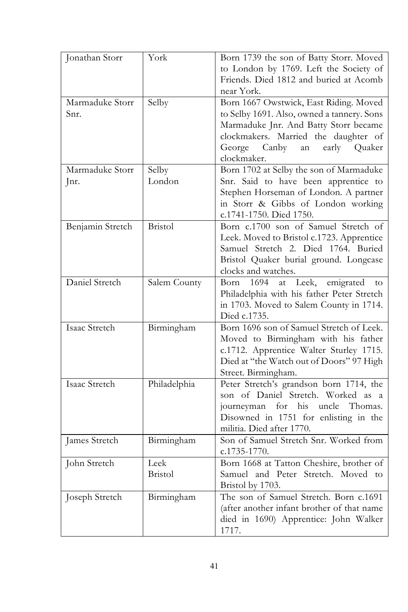| Jonathan Storr       | York           | Born 1739 the son of Batty Storr. Moved     |
|----------------------|----------------|---------------------------------------------|
|                      |                | to London by 1769. Left the Society of      |
|                      |                | Friends. Died 1812 and buried at Acomb      |
|                      |                | near York.                                  |
| Marmaduke Storr      | Selby          | Born 1667 Owstwick, East Riding. Moved      |
| Snr.                 |                | to Selby 1691. Also, owned a tannery. Sons  |
|                      |                | Marmaduke Jnr. And Batty Storr became       |
|                      |                | clockmakers. Married the daughter of        |
|                      |                | George<br>early Quaker<br>Canby<br>an       |
|                      |                | clockmaker.                                 |
| Marmaduke Storr      | Selby          | Born 1702 at Selby the son of Marmaduke     |
| Jnr.                 | London         | Snr. Said to have been apprentice to        |
|                      |                | Stephen Horseman of London. A partner       |
|                      |                | in Storr & Gibbs of London working          |
|                      |                | c.1741-1750. Died 1750.                     |
| Benjamin Stretch     | <b>Bristol</b> | Born c.1700 son of Samuel Stretch of        |
|                      |                | Leek. Moved to Bristol c.1723. Apprentice   |
|                      |                | Samuel Stretch 2. Died 1764. Buried         |
|                      |                | Bristol Quaker burial ground. Longcase      |
|                      |                | clocks and watches.                         |
| Daniel Stretch       | Salem County   | 1694<br>Born<br>at Leek,<br>emigrated<br>to |
|                      |                | Philadelphia with his father Peter Stretch  |
|                      |                | in 1703. Moved to Salem County in 1714.     |
|                      |                | Died c.1735.                                |
| Isaac Stretch        | Birmingham     | Born 1696 son of Samuel Stretch of Leek.    |
|                      |                | Moved to Birmingham with his father         |
|                      |                | c.1712. Apprentice Walter Sturley 1715.     |
|                      |                | Died at "the Watch out of Doors" 97 High    |
|                      |                | Street. Birmingham.                         |
| <b>Isaac Stretch</b> | Philadelphia   | Peter Stretch's grandson born 1714, the     |
|                      |                | son of Daniel Stretch. Worked as a          |
|                      |                | journeyman for his uncle Thomas.            |
|                      |                | Disowned in 1751 for enlisting in the       |
|                      |                | militia. Died after 1770.                   |
| James Stretch        | Birmingham     | Son of Samuel Stretch Snr. Worked from      |
|                      |                | c.1735-1770.                                |
| John Stretch         | Leek           | Born 1668 at Tatton Cheshire, brother of    |
|                      | <b>Bristol</b> | Samuel and Peter Stretch. Moved to          |
|                      |                | Bristol by 1703.                            |
| Joseph Stretch       | Birmingham     | The son of Samuel Stretch. Born c.1691      |
|                      |                | (after another infant brother of that name  |
|                      |                | died in 1690) Apprentice: John Walker       |
|                      |                | 1717.                                       |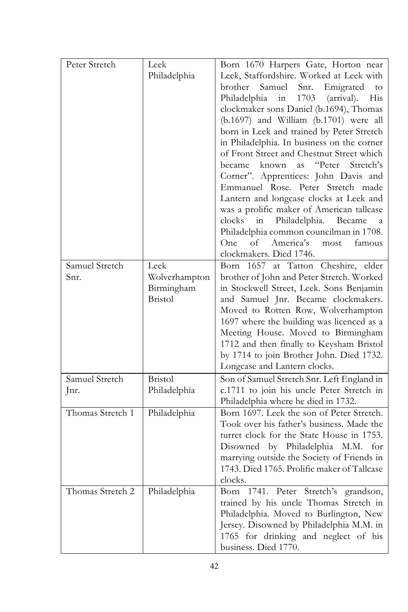| Peter Stretch          | Leek<br>Philadelphia                                  | Born 1670 Harpers Gate, Horton near<br>Leek, Staffordshire. Worked at Leek with<br>brother Samuel<br>Snr.<br>Emigrated<br>to<br>Philadelphia<br>in<br>1703<br>(arrival).<br>His<br>clockmaker sons Daniel (b.1694), Thomas<br>(b.1697) and William (b.1701) were all<br>born in Leek and trained by Peter Stretch<br>in Philadelphia. In business on the corner<br>of Front Street and Chestnut Street which<br>"Peter<br>Stretch's<br>became<br>known<br>as<br>Corner". Apprentices: John Davis and<br>Emmanuel Rose. Peter Stretch made<br>Lantern and longcase clocks at Leek and |
|------------------------|-------------------------------------------------------|--------------------------------------------------------------------------------------------------------------------------------------------------------------------------------------------------------------------------------------------------------------------------------------------------------------------------------------------------------------------------------------------------------------------------------------------------------------------------------------------------------------------------------------------------------------------------------------|
|                        |                                                       | was a prolific maker of American tallcase<br>clocks<br>in Philadelphia. Became<br>Philadelphia common councilman in 1708.<br>of America's<br>One<br>most<br>famous<br>clockmakers. Died 1746.                                                                                                                                                                                                                                                                                                                                                                                        |
| Samuel Stretch<br>Snr. | Leek<br>Wolverhampton<br>Birmingham<br><b>Bristol</b> | Born 1657 at Tatton Cheshire, elder<br>brother of John and Peter Stretch. Worked<br>in Stockwell Street, Leek. Sons Benjamin<br>and Samuel Jnr. Became clockmakers.<br>Moved to Rotten Row, Wolverhampton<br>1697 where the building was licenced as a<br>Meeting House. Moved to Birmingham<br>1712 and then finally to Keysham Bristol<br>by 1714 to join Brother John. Died 1732.<br>Longcase and Lantern clocks.                                                                                                                                                                 |
| Samuel Stretch<br>Jnr. | <b>Bristol</b><br>Philadelphia                        | Son of Samuel Stretch Snr. Left England in<br>c.1711 to join his uncle Peter Stretch in<br>Philadelphia where he died in 1732.                                                                                                                                                                                                                                                                                                                                                                                                                                                       |
| Thomas Stretch 1       | Philadelphia                                          | Born 1697. Leek the son of Peter Stretch.<br>Took over his father's business. Made the<br>turret clock for the State House in 1753.<br>Disowned by Philadelphia M.M. for<br>marrying outside the Society of Friends in<br>1743. Died 1765. Prolific maker of Tallcase<br>clocks.                                                                                                                                                                                                                                                                                                     |
| Thomas Stretch 2       | Philadelphia                                          | Born 1741. Peter Stretch's grandson,<br>trained by his uncle Thomas Stretch in<br>Philadelphia. Moved to Burlington, New<br>Jersey. Disowned by Philadelphia M.M. in<br>1765 for drinking and neglect of his<br>business. Died 1770.                                                                                                                                                                                                                                                                                                                                                 |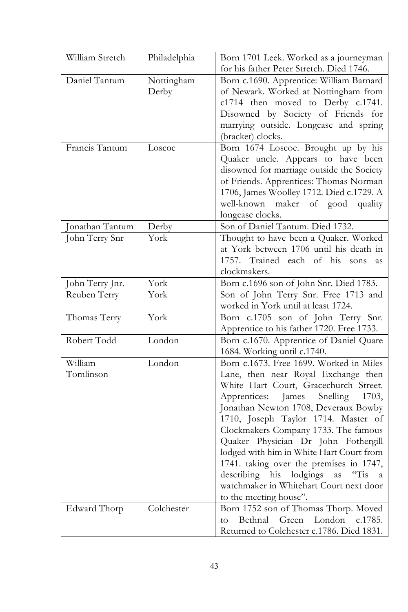| William Stretch      | Philadelphia        | Born 1701 Leek. Worked as a journeyman<br>for his father Peter Stretch. Died 1746.                                                                                                                                                                                                                                                                                                                                                                                                                                                           |
|----------------------|---------------------|----------------------------------------------------------------------------------------------------------------------------------------------------------------------------------------------------------------------------------------------------------------------------------------------------------------------------------------------------------------------------------------------------------------------------------------------------------------------------------------------------------------------------------------------|
| Daniel Tantum        | Nottingham<br>Derby | Born c.1690. Apprentice: William Barnard<br>of Newark. Worked at Nottingham from<br>c1714 then moved to Derby c.1741.<br>Disowned by Society of Friends for<br>marrying outside. Longcase and spring<br>(bracket) clocks.                                                                                                                                                                                                                                                                                                                    |
| Francis Tantum       | Loscoe              | Born 1674 Loscoe. Brought up by his<br>Quaker uncle. Appears to have been<br>disowned for marriage outside the Society<br>of Friends. Apprentices: Thomas Norman<br>1706, James Woolley 1712. Died c.1729. A<br>maker of good quality<br>well-known<br>longcase clocks.                                                                                                                                                                                                                                                                      |
| Jonathan Tantum      | Derby               | Son of Daniel Tantum. Died 1732.                                                                                                                                                                                                                                                                                                                                                                                                                                                                                                             |
| John Terry Snr       | York                | Thought to have been a Quaker. Worked<br>at York between 1706 until his death in<br>Trained each of his<br>1757.<br>sons<br><b>as</b><br>clockmakers.                                                                                                                                                                                                                                                                                                                                                                                        |
| John Terry Jnr.      | York                | Born c.1696 son of John Snr. Died 1783.                                                                                                                                                                                                                                                                                                                                                                                                                                                                                                      |
| Reuben Terry         | York                | Son of John Terry Snr. Free 1713 and<br>worked in York until at least 1724.                                                                                                                                                                                                                                                                                                                                                                                                                                                                  |
| Thomas Terry         | York                | Born c.1705 son of John Terry Snr.<br>Apprentice to his father 1720. Free 1733.                                                                                                                                                                                                                                                                                                                                                                                                                                                              |
| Robert Todd          | London              | Born c.1670. Apprentice of Daniel Quare<br>1684. Working until c.1740.                                                                                                                                                                                                                                                                                                                                                                                                                                                                       |
| William<br>Tomlinson | London              | Born c.1673. Free 1699. Worked in Miles<br>Lane, then near Royal Exchange then<br>White Hart Court, Gracechurch Street.<br>James Snelling<br>Apprentices:<br>1703,<br>Jonathan Newton 1708, Deveraux Bowby<br>1710, Joseph Taylor 1714. Master of<br>Clockmakers Company 1733. The famous<br>Quaker Physician Dr John Fothergill<br>lodged with him in White Hart Court from<br>1741. taking over the premises in 1747,<br>describing his lodgings<br>$T$ is<br>as<br>a<br>watchmaker in Whitehart Court next door<br>to the meeting house". |
| <b>Edward Thorp</b>  | Colchester          | Born 1752 son of Thomas Thorp. Moved<br>Bethnal<br>Green<br>London<br>c.1785.<br>to<br>Returned to Colchester c.1786. Died 1831.                                                                                                                                                                                                                                                                                                                                                                                                             |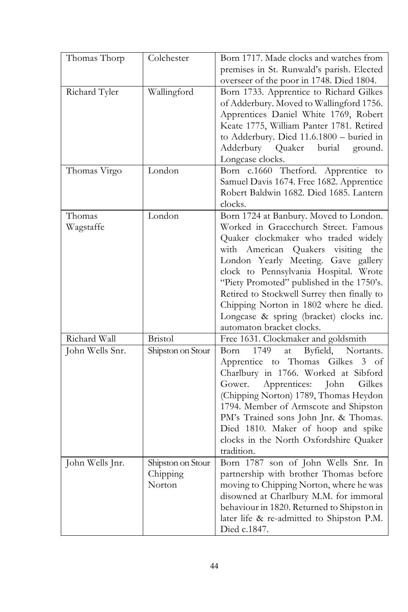| Thomas Thorp        | Colchester                              | Born 1717. Made clocks and watches from                                                                                                                                                                                                                                                                                                                                                                                                                   |
|---------------------|-----------------------------------------|-----------------------------------------------------------------------------------------------------------------------------------------------------------------------------------------------------------------------------------------------------------------------------------------------------------------------------------------------------------------------------------------------------------------------------------------------------------|
|                     |                                         | premises in St. Runwald's parish. Elected<br>overseer of the poor in 1748. Died 1804.                                                                                                                                                                                                                                                                                                                                                                     |
| Richard Tyler       | Wallingford                             | Born 1733. Apprentice to Richard Gilkes<br>of Adderbury. Moved to Wallingford 1756.<br>Apprentices Daniel White 1769, Robert<br>Keate 1775, William Panter 1781. Retired<br>to Adderbury. Died 11.6.1800 - buried in<br>Adderbury Quaker burial<br>ground.<br>Longcase clocks.                                                                                                                                                                            |
| Thomas Virgo        | London                                  | Born c.1660 Thetford. Apprentice to<br>Samuel Davis 1674. Free 1682. Apprentice<br>Robert Baldwin 1682. Died 1685. Lantern<br>clocks.                                                                                                                                                                                                                                                                                                                     |
| Thomas<br>Wagstaffe | London                                  | Born 1724 at Banbury. Moved to London.<br>Worked in Gracechurch Street. Famous<br>Quaker clockmaker who traded widely<br>with American Quakers visiting the<br>London Yearly Meeting. Gave gallery<br>clock to Pennsylvania Hospital. Wrote<br>"Piety Promoted" published in the 1750's.<br>Retired to Stockwell Surrey then finally to<br>Chipping Norton in 1802 where he died.<br>Longcase & spring (bracket) clocks inc.<br>automaton bracket clocks. |
| Richard Wall        | <b>Bristol</b>                          | Free 1631. Clockmaker and goldsmith                                                                                                                                                                                                                                                                                                                                                                                                                       |
| John Wells Snr.     | Shipston on Stour                       | Byfield, Nortants.<br>Born<br>1749<br>at<br>Apprentice to Thomas Gilkes<br>of<br>3<br>Charlbury in 1766. Worked at Sibford<br>Apprentices:<br>Gower.<br>John<br>Gilkes<br>(Chipping Norton) 1789, Thomas Heydon<br>1794. Member of Armscote and Shipston<br>PM's Trained sons John Jnr. & Thomas.<br>Died 1810. Maker of hoop and spike<br>clocks in the North Oxfordshire Quaker<br>tradition.                                                           |
| John Wells Jnr.     | Shipston on Stour<br>Chipping<br>Norton | Born 1787 son of John Wells Snr. In<br>partnership with brother Thomas before<br>moving to Chipping Norton, where he was<br>disowned at Charlbury M.M. for immoral<br>behaviour in 1820. Returned to Shipston in<br>later life & re-admitted to Shipston P.M.<br>Died c.1847.                                                                                                                                                                             |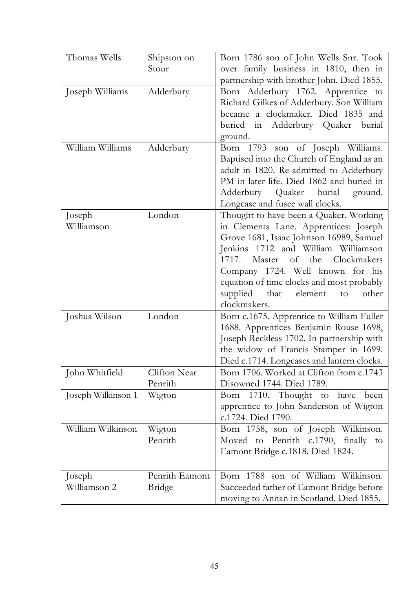| Thomas Wells           | Shipston on              | Born 1786 son of John Wells Snr. Took                                                                                                                                                                                                                                                                                                                           |
|------------------------|--------------------------|-----------------------------------------------------------------------------------------------------------------------------------------------------------------------------------------------------------------------------------------------------------------------------------------------------------------------------------------------------------------|
|                        | Stour                    | over family business in 1810, then in                                                                                                                                                                                                                                                                                                                           |
|                        |                          | partnership with brother John. Died 1855.                                                                                                                                                                                                                                                                                                                       |
| Joseph Williams        | Adderbury                | Born Adderbury 1762. Apprentice to<br>Richard Gilkes of Adderbury. Son William<br>became a clockmaker. Died 1835 and<br>buried in<br>Adderbury Quaker<br>burial<br>ground.                                                                                                                                                                                      |
| William Williams       | Adderbury                | of Joseph Williams.<br>1793<br>Born<br>son<br>Baptised into the Church of England as an<br>adult in 1820. Re-admitted to Adderbury<br>PM in later life. Died 1862 and buried in<br>Adderbury Quaker burial<br>ground.<br>Longcase and fusee wall clocks.                                                                                                        |
| Joseph<br>Williamson   | London                   | Thought to have been a Quaker. Working<br>in Clements Lane. Apprentices: Joseph<br>Grove 1681, Isaac Johnson 16989, Samuel<br>Jenkins 1712 and William Williamson<br>of<br>1717.<br>Master<br>the<br>Clockmakers<br>Company 1724. Well known for his<br>equation of time clocks and most probably<br>element<br>supplied<br>that<br>to<br>other<br>clockmakers. |
| Joshua Wilson          | London                   | Born c.1675. Apprentice to William Fuller<br>1688. Apprentices Benjamin Rouse 1698,<br>Joseph Reckless 1702. In partnership with<br>the widow of Francis Stamper in 1699.<br>Died c.1714. Longcases and lantern clocks.                                                                                                                                         |
| John Whitfield         | Clifton Near<br>Penrith  | Born 1706. Worked at Clifton from c.1743<br>Disowned 1744. Died 1789.                                                                                                                                                                                                                                                                                           |
| Joseph Wilkinson 1     | Wigton                   | Born 1710. Thought to have been<br>apprentice to John Sanderson of Wigton<br>c.1724. Died 1790.                                                                                                                                                                                                                                                                 |
| William Wilkinson      | Wigton<br>Penrith        | Born 1758, son of Joseph Wilkinson.<br>Moved to Penrith c.1790, finally to<br>Eamont Bridge c.1818. Died 1824.                                                                                                                                                                                                                                                  |
| Joseph<br>Williamson 2 | Penrith Eamont<br>Bridge | Born 1788 son of William Wilkinson.<br>Succeeded father of Eamont Bridge before<br>moving to Annan in Scotland. Died 1855.                                                                                                                                                                                                                                      |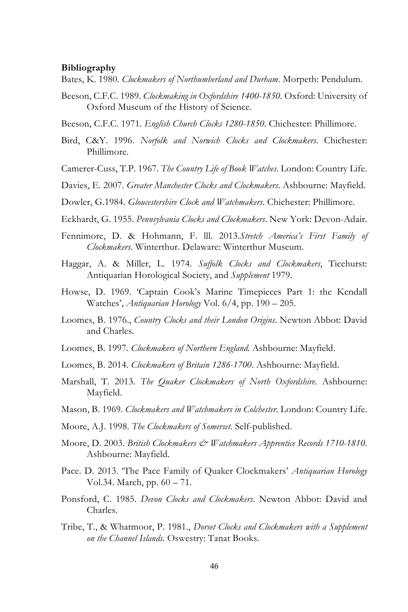#### **Bibliography**

Bates, K. 1980. *Clockmakers of Northumberland and Durham*. Morpeth: Pendulum.

- Beeson, C.F.C. 1989. *Clockmaking in Oxfordshire 1400-1850.* Oxford: University of Oxford Museum of the History of Science.
- Beeson, C.F.C. 1971. *English Church Clocks 1280-1850*. Chichester: Phillimore.
- Bird, C&Y. 1996. *Norfolk and Norwich Clocks and Clockmakers*. Chichester: Phillimore.
- Camerer-Cuss, T.P. 1967. *The Country Life of Book Watches*. London: Country Life.
- Davies, E. 2007. *Greater Manchester Clocks and Clockmakers*. Ashbourne: Mayfield.
- Dowler, G.1984. *Gloucestershire Clock and Watchmakers*. Chichester: Phillimore.
- Eckhardt, G. 1955. *Pennsylvania Clocks and Clockmakers*. New York: Devon-Adair.
- Fennimore, D. & Hohmann, F. lll. 2013.*Stretch America's First Family of Clockmakers*. Winterthur. Delaware: Winterthur Museum.
- Haggar, A. & Miller, L. 1974. *Suffolk Clocks and Clockmakers*, Ticehurst: Antiquarian Horological Society, and *Supplement* 1979.
- Howse, D. 1969. 'Captain Cook's Marine Timepieces Part 1: the Kendall Watches', *Antiquarian Horology* Vol. 6/4, pp. 190 – 205.
- Loomes, B. 1976., *Country Clocks and their London Origins*. Newton Abbot: David and Charles.
- Loomes, B. 1997. *Clockmakers of Northern England*. Ashbourne: Mayfield.
- Loomes, B. 2014. *Clockmakers of Britain 1286-1700*. Ashbourne: Mayfield.
- Marshall, T. 2013. *The Quaker Clockmakers of North Oxfordshire*. Ashbourne: Mayfield.
- Mason, B. 1969. *Clockmakers and Watchmakers in Colchester*. London: Country Life.
- Moore, A.J. 1998. *The Clockmakers of Somerset*. Self-published.
- Moore, D. 2003. *British Clockmakers & Watchmakers Apprentice Records 1710-1810*. Ashbourne: Mayfield.
- Pace. D. 2013. 'The Pace Family of Quaker Clockmakers' *Antiquarian Horology*  Vol.34. March, pp. 60 – 71.
- Ponsford, C. 1985. *Devon Clocks and Clockmakers*. Newton Abbot: David and Charles.
- Tribe, T., & Whatmoor, P. 1981., *Dorset Clocks and Clockmakers with a Supplement on the Channel Islands.* Oswestry: Tanat Books.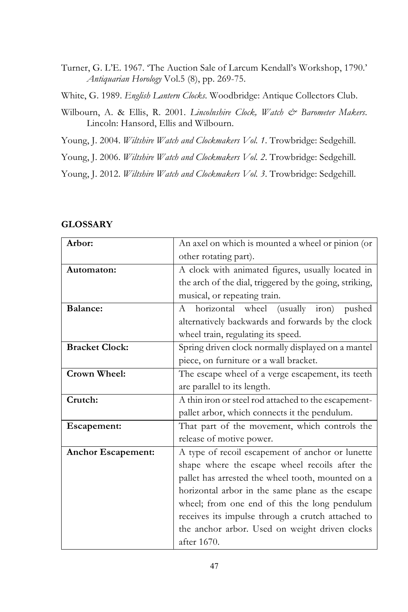Turner, G. L'E. 1967. 'The Auction Sale of Larcum Kendall's Workshop, 1790.' *Antiquarian Horology* Vol.5 (8), pp. 269-75.

White, G. 1989. *English Lantern Clocks*. Woodbridge: Antique Collectors Club.

- Wilbourn, A. & Ellis, R. 2001. *Lincolnshire Clock, Watch & Barometer Makers*. Lincoln: Hansord, Ellis and Wilbourn.
- Young, J. 2004. *Wiltshire Watch and Clockmakers Vol. 1*. Trowbridge: Sedgehill.
- Young, J. 2006. *Wiltshire Watch and Clockmakers Vol. 2*. Trowbridge: Sedgehill.
- Young, J. 2012. *Wiltshire Watch and Clockmakers Vol. 3*. Trowbridge: Sedgehill.

| Arbor:                    | An axel on which is mounted a wheel or pinion (or       |
|---------------------------|---------------------------------------------------------|
|                           | other rotating part).                                   |
| Automaton:                | A clock with animated figures, usually located in       |
|                           | the arch of the dial, triggered by the going, striking, |
|                           | musical, or repeating train.                            |
| Balance:                  | horizontal wheel (usually iron)<br>pushed<br>A          |
|                           | alternatively backwards and forwards by the clock       |
|                           | wheel train, regulating its speed.                      |
| <b>Bracket Clock:</b>     | Spring driven clock normally displayed on a mantel      |
|                           | piece, on furniture or a wall bracket.                  |
| Crown Wheel:              | The escape wheel of a verge escapement, its teeth       |
|                           | are parallel to its length.                             |
| Crutch:                   | A thin iron or steel rod attached to the escapement-    |
|                           | pallet arbor, which connects it the pendulum.           |
| Escapement:               | That part of the movement, which controls the           |
|                           | release of motive power.                                |
| <b>Anchor Escapement:</b> | A type of recoil escapement of anchor or lunette        |
|                           | shape where the escape wheel recoils after the          |
|                           | pallet has arrested the wheel tooth, mounted on a       |
|                           | horizontal arbor in the same plane as the escape        |
|                           | wheel; from one end of this the long pendulum           |
|                           | receives its impulse through a crutch attached to       |
|                           | the anchor arbor. Used on weight driven clocks          |
|                           | after 1670.                                             |

# **GLOSSARY**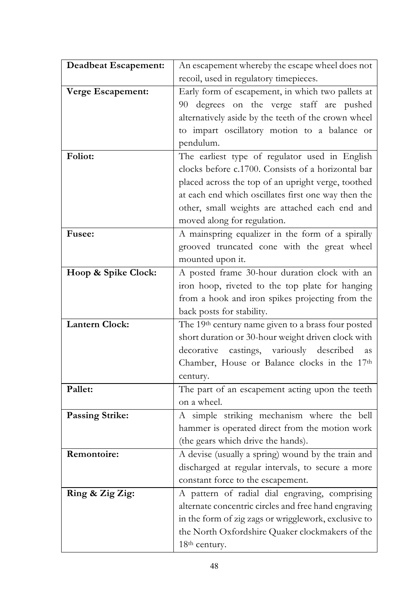| <b>Deadbeat Escapement:</b> | An escapement whereby the escape wheel does not             |
|-----------------------------|-------------------------------------------------------------|
|                             | recoil, used in regulatory timepieces.                      |
| Verge Escapement:           | Early form of escapement, in which two pallets at           |
|                             | 90 degrees on the verge staff are pushed                    |
|                             | alternatively aside by the teeth of the crown wheel         |
|                             | to impart oscillatory motion to a balance or                |
|                             | pendulum.                                                   |
| Foliot:                     | The earliest type of regulator used in English              |
|                             | clocks before c.1700. Consists of a horizontal bar          |
|                             | placed across the top of an upright verge, toothed          |
|                             | at each end which oscillates first one way then the         |
|                             | other, small weights are attached each end and              |
|                             | moved along for regulation.                                 |
| Fusee:                      | A mainspring equalizer in the form of a spirally            |
|                             | grooved truncated cone with the great wheel                 |
|                             | mounted upon it.                                            |
| Hoop & Spike Clock:         | A posted frame 30-hour duration clock with an               |
|                             | iron hoop, riveted to the top plate for hanging             |
|                             | from a hook and iron spikes projecting from the             |
|                             | back posts for stability.                                   |
| <b>Lantern Clock:</b>       | The 19th century name given to a brass four posted          |
|                             | short duration or 30-hour weight driven clock with          |
|                             | castings, variously<br>described<br>decorative<br><b>as</b> |
|                             | Chamber, House or Balance clocks in the 17th                |
|                             | century.                                                    |
| Pallet:                     | The part of an escapement acting upon the teeth             |
|                             | on a wheel.                                                 |
| <b>Passing Strike:</b>      | A simple striking mechanism where the bell                  |
|                             | hammer is operated direct from the motion work              |
|                             | (the gears which drive the hands).                          |
| Remontoire:                 | A devise (usually a spring) wound by the train and          |
|                             | discharged at regular intervals, to secure a more           |
|                             | constant force to the escapement.                           |
| Ring & Zig Zig:             | A pattern of radial dial engraving, comprising              |
|                             | alternate concentric circles and free hand engraving        |
|                             | in the form of zig zags or wrigglework, exclusive to        |
|                             |                                                             |
|                             | the North Oxfordshire Quaker clockmakers of the             |